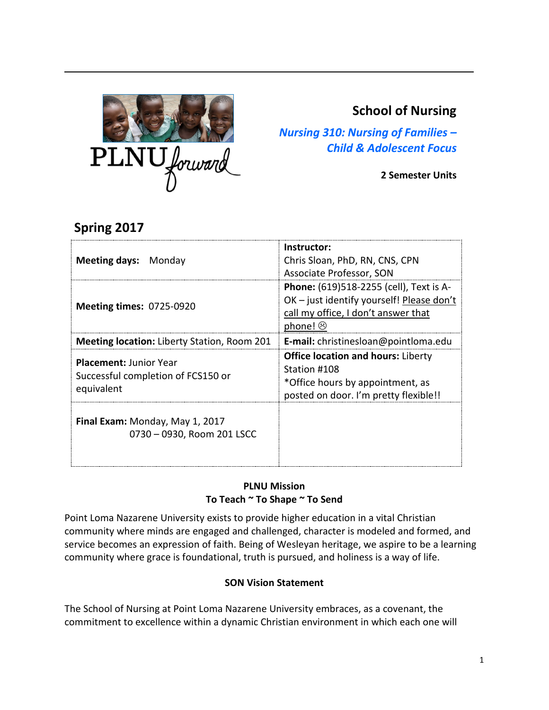

## **School of Nursing**

*Nursing 310: Nursing of Families – Child & Adolescent Focus*

**2 Semester Units**

## **Spring 2017**

| <b>Meeting days: Monday</b>                                                       | Instructor:<br>Chris Sloan, PhD, RN, CNS, CPN<br>Associate Professor, SON                                                                       |
|-----------------------------------------------------------------------------------|-------------------------------------------------------------------------------------------------------------------------------------------------|
| <b>Meeting times: 0725-0920</b>                                                   | <b>Phone:</b> (619)518-2255 (cell), Text is A-<br>OK - just identify yourself! Please don't<br>call my office, I don't answer that<br>phone! (∂ |
| <b>Meeting location:</b> Liberty Station, Room 201                                | <b>E-mail:</b> christinesloan@pointloma.edu                                                                                                     |
| <b>Placement: Junior Year</b><br>Successful completion of FCS150 or<br>equivalent | <b>Office location and hours: Liberty</b><br>Station #108<br>*Office hours by appointment, as<br>posted on door. I'm pretty flexible!!          |
| Final Exam: Monday, May 1, 2017<br>0730 - 0930, Room 201 LSCC                     |                                                                                                                                                 |

#### **PLNU Mission To Teach ~ To Shape ~ To Send**

Point Loma Nazarene University exists to provide higher education in a vital Christian community where minds are engaged and challenged, character is modeled and formed, and service becomes an expression of faith. Being of Wesleyan heritage, we aspire to be a learning community where grace is foundational, truth is pursued, and holiness is a way of life.

#### **SON Vision Statement**

The School of Nursing at Point Loma Nazarene University embraces, as a covenant, the commitment to excellence within a dynamic Christian environment in which each one will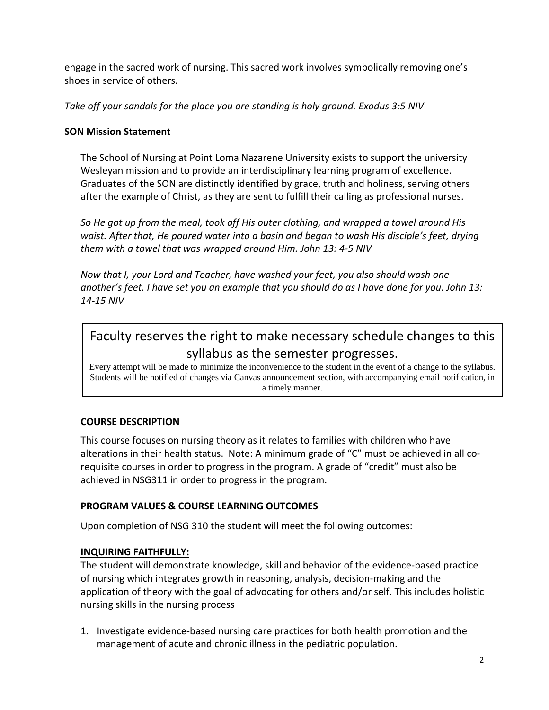engage in the sacred work of nursing. This sacred work involves symbolically removing one's shoes in service of others.

*Take off your sandals for the place you are standing is holy ground. Exodus 3:5 NIV* 

#### **SON Mission Statement**

The School of Nursing at Point Loma Nazarene University exists to support the university Wesleyan mission and to provide an interdisciplinary learning program of excellence. Graduates of the SON are distinctly identified by grace, truth and holiness, serving others after the example of Christ, as they are sent to fulfill their calling as professional nurses.

*So He got up from the meal, took off His outer clothing, and wrapped a towel around His waist. After that, He poured water into a basin and began to wash His disciple's feet, drying them with a towel that was wrapped around Him. John 13: 4-5 NIV* 

*Now that I, your Lord and Teacher, have washed your feet, you also should wash one another's feet. I have set you an example that you should do as I have done for you. John 13: 14-15 NIV* 

## Faculty reserves the right to make necessary schedule changes to this syllabus as the semester progresses.

Every attempt will be made to minimize the inconvenience to the student in the event of a change to the syllabus. Students will be notified of changes via Canvas announcement section, with accompanying email notification, in a timely manner.

### **COURSE DESCRIPTION**

This course focuses on nursing theory as it relates to families with children who have alterations in their health status. Note: A minimum grade of "C" must be achieved in all corequisite courses in order to progress in the program. A grade of "credit" must also be achieved in NSG311 in order to progress in the program.

#### **PROGRAM VALUES & COURSE LEARNING OUTCOMES**

Upon completion of NSG 310 the student will meet the following outcomes:

### **INQUIRING FAITHFULLY:**

The student will demonstrate knowledge, skill and behavior of the evidence-based practice of nursing which integrates growth in reasoning, analysis, decision-making and the application of theory with the goal of advocating for others and/or self. This includes holistic nursing skills in the nursing process

1. Investigate evidence-based nursing care practices for both health promotion and the management of acute and chronic illness in the pediatric population.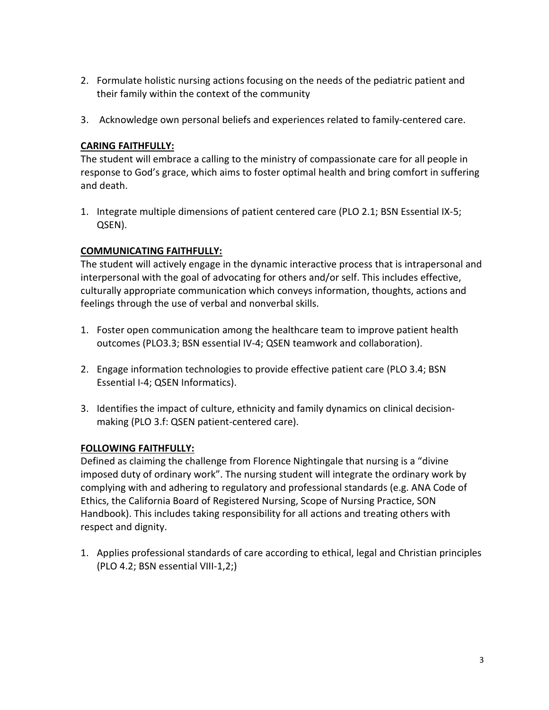- 2. Formulate holistic nursing actions focusing on the needs of the pediatric patient and their family within the context of the community
- 3. Acknowledge own personal beliefs and experiences related to family-centered care.

#### **CARING FAITHFULLY:**

The student will embrace a calling to the ministry of compassionate care for all people in response to God's grace, which aims to foster optimal health and bring comfort in suffering and death.

1. Integrate multiple dimensions of patient centered care (PLO 2.1; BSN Essential IX-5; QSEN).

### **COMMUNICATING FAITHFULLY:**

The student will actively engage in the dynamic interactive process that is intrapersonal and interpersonal with the goal of advocating for others and/or self. This includes effective, culturally appropriate communication which conveys information, thoughts, actions and feelings through the use of verbal and nonverbal skills.

- 1. Foster open communication among the healthcare team to improve patient health outcomes (PLO3.3; BSN essential IV-4; QSEN teamwork and collaboration).
- 2. Engage information technologies to provide effective patient care (PLO 3.4; BSN Essential I-4; QSEN Informatics).
- 3. Identifies the impact of culture, ethnicity and family dynamics on clinical decisionmaking (PLO 3.f: QSEN patient-centered care).

#### **FOLLOWING FAITHFULLY:**

Defined as claiming the challenge from Florence Nightingale that nursing is a "divine imposed duty of ordinary work". The nursing student will integrate the ordinary work by complying with and adhering to regulatory and professional standards (e.g. ANA Code of Ethics, the California Board of Registered Nursing, Scope of Nursing Practice, SON Handbook). This includes taking responsibility for all actions and treating others with respect and dignity.

1. Applies professional standards of care according to ethical, legal and Christian principles (PLO 4.2; BSN essential VIII-1,2;)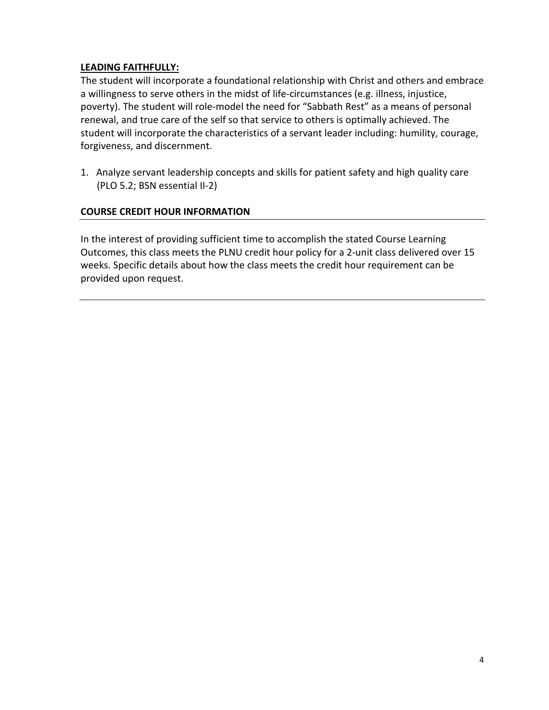#### **LEADING FAITHFULLY:**

The student will incorporate a foundational relationship with Christ and others and embrace a willingness to serve others in the midst of life-circumstances (e.g. illness, injustice, poverty). The student will role-model the need for "Sabbath Rest" as a means of personal renewal, and true care of the self so that service to others is optimally achieved. The student will incorporate the characteristics of a servant leader including: humility, courage, forgiveness, and discernment.

1. Analyze servant leadership concepts and skills for patient safety and high quality care (PLO 5.2; BSN essential II-2)

#### **COURSE CREDIT HOUR INFORMATION**

In the interest of providing sufficient time to accomplish the stated Course Learning Outcomes, this class meets the PLNU credit hour policy for a 2-unit class delivered over 15 weeks. Specific details about how the class meets the credit hour requirement can be provided upon request.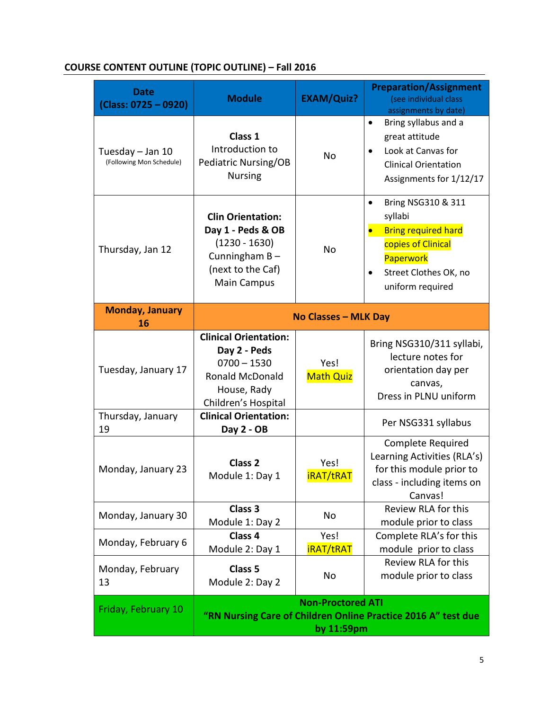| <b>Date</b><br>(Class: 0725 - 0920)          | <b>Module</b>                                                                                                                   | <b>EXAM/Quiz?</b>                      | <b>Preparation/Assignment</b><br>(see individual class<br>assignments by date)                                                                                        |
|----------------------------------------------|---------------------------------------------------------------------------------------------------------------------------------|----------------------------------------|-----------------------------------------------------------------------------------------------------------------------------------------------------------------------|
| Tuesday - Jan 10<br>(Following Mon Schedule) | Class 1<br>Introduction to<br>Pediatric Nursing/OB<br><b>Nursing</b>                                                            | <b>No</b>                              | Bring syllabus and a<br>$\bullet$<br>great attitude<br>Look at Canvas for<br>$\bullet$<br><b>Clinical Orientation</b><br>Assignments for 1/12/17                      |
| Thursday, Jan 12                             | <b>Clin Orientation:</b><br>Day 1 - Peds & OB<br>$(1230 - 1630)$<br>Cunningham $B -$<br>(next to the Caf)<br><b>Main Campus</b> | <b>No</b>                              | Bring NSG310 & 311<br>$\bullet$<br>syllabi<br><b>Bring required hard</b><br>copies of Clinical<br>Paperwork<br>Street Clothes OK, no<br>$\bullet$<br>uniform required |
| <b>Monday, January</b><br>16                 | <b>No Classes - MLK Day</b>                                                                                                     |                                        |                                                                                                                                                                       |
| Tuesday, January 17                          | <b>Clinical Orientation:</b><br>Day 2 - Peds<br>$0700 - 1530$<br><b>Ronald McDonald</b><br>House, Rady<br>Children's Hospital   | Yes!<br><b>Math Quiz</b>               | Bring NSG310/311 syllabi,<br>lecture notes for<br>orientation day per<br>canvas,<br>Dress in PLNU uniform                                                             |
| Thursday, January<br>19                      | <b>Clinical Orientation:</b><br>Day 2 - OB                                                                                      |                                        | Per NSG331 syllabus                                                                                                                                                   |
| Monday, January 23                           | Class <sub>2</sub><br>Module 1: Day 1                                                                                           | Yes!<br><b>iRAT/tRAT</b>               | <b>Complete Required</b><br>Learning Activities (RLA's)<br>for this module prior to<br>class - including items on<br>Canvas!                                          |
| Monday, January 30                           | Class 3<br>Module 1: Day 2                                                                                                      | No                                     | Review RLA for this<br>module prior to class                                                                                                                          |
| Monday, February 6                           | Class 4<br>Module 2: Day 1                                                                                                      | Yes!<br><b>iRAT/tRAT</b>               | Complete RLA's for this<br>module prior to class                                                                                                                      |
| Monday, February<br>13                       | Class 5<br>Module 2: Day 2                                                                                                      | No                                     | Review RLA for this<br>module prior to class                                                                                                                          |
| Friday, February 10                          |                                                                                                                                 | <b>Non-Proctored ATI</b><br>by 11:59pm | "RN Nursing Care of Children Online Practice 2016 A" test due                                                                                                         |

## **COURSE CONTENT OUTLINE (TOPIC OUTLINE) – Fall 2016**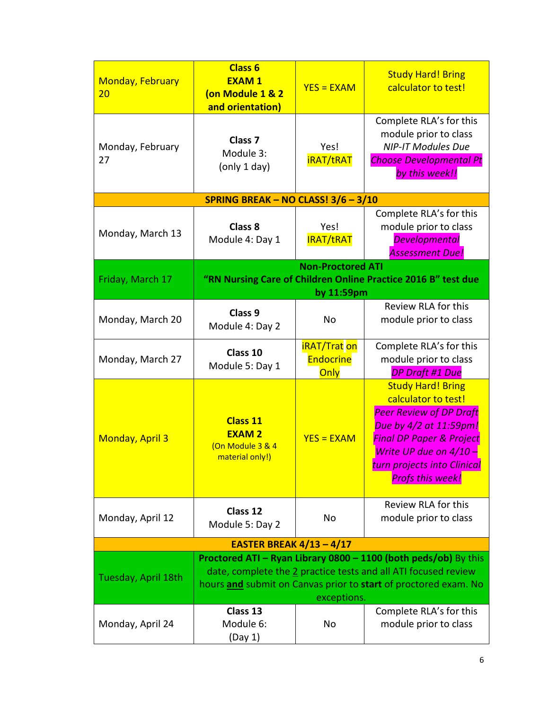| <b>Monday, February</b><br>20 | <b>Class 6</b><br><b>EXAM1</b><br>(on Module 1 & 2<br>and orientation)                                  | $YES = EXAM$                                    | <b>Study Hard! Bring</b><br>calculator to test!                                                                                                                                                                                        |
|-------------------------------|---------------------------------------------------------------------------------------------------------|-------------------------------------------------|----------------------------------------------------------------------------------------------------------------------------------------------------------------------------------------------------------------------------------------|
| Monday, February<br>27        | Class <sub>7</sub><br>Module 3:<br>(only 1 day)                                                         | Yes!<br><b>iRAT/tRAT</b>                        | Complete RLA's for this<br>module prior to class<br><b>NIP-IT Modules Due</b><br><b>Choose Developmental Pt</b><br>by this week!!                                                                                                      |
|                               | SPRING BREAK - NO CLASS! 3/6 - 3/10                                                                     |                                                 |                                                                                                                                                                                                                                        |
| Monday, March 13              | Class 8<br>Module 4: Day 1                                                                              | Yes!<br><b>IRAT/tRAT</b>                        | Complete RLA's for this<br>module prior to class<br><b>Developmental</b><br><b>Assessment Due!</b>                                                                                                                                     |
| Friday, March 17              | <b>Non-Proctored ATI</b><br>"RN Nursing Care of Children Online Practice 2016 B" test due<br>by 11:59pm |                                                 |                                                                                                                                                                                                                                        |
| Monday, March 20              | Class 9<br>Module 4: Day 2                                                                              | <b>No</b>                                       | Review RLA for this<br>module prior to class                                                                                                                                                                                           |
| Monday, March 27              | Class 10<br>Module 5: Day 1                                                                             | <b>iRAT/Trat</b> on<br><b>Endocrine</b><br>Only | Complete RLA's for this<br>module prior to class<br><b>DP Draft #1 Due</b>                                                                                                                                                             |
| <b>Monday, April 3</b>        | <b>Class 11</b><br><b>EXAM2</b><br>(On Module 3 & 4<br>material only!)                                  | $YES = EXAM$                                    | <b>Study Hard! Bring</b><br>calculator to test!<br><b>Peer Review of DP Draft</b><br>Due by 4/2 at 11:59pm!<br><b>Final DP Paper &amp; Project</b><br>Write UP due on 4/10 -<br>turn projects into Clinical<br><b>Profs this week!</b> |
| Monday, April 12              | Class 12<br>Module 5: Day 2                                                                             | <b>No</b>                                       | Review RLA for this<br>module prior to class                                                                                                                                                                                           |
|                               | <b>EASTER BREAK 4/13 - 4/17</b>                                                                         |                                                 |                                                                                                                                                                                                                                        |
| Tuesday, April 18th           |                                                                                                         | exceptions.                                     | Proctored ATI - Ryan Library 0800 - 1100 (both peds/ob) By this<br>date, complete the 2 practice tests and all ATI focused review<br>hours and submit on Canvas prior to start of proctored exam. No                                   |
|                               | Class 13                                                                                                |                                                 | Complete RLA's for this                                                                                                                                                                                                                |
| Monday, April 24              | Module 6:<br>(Day 1)                                                                                    | No                                              | module prior to class                                                                                                                                                                                                                  |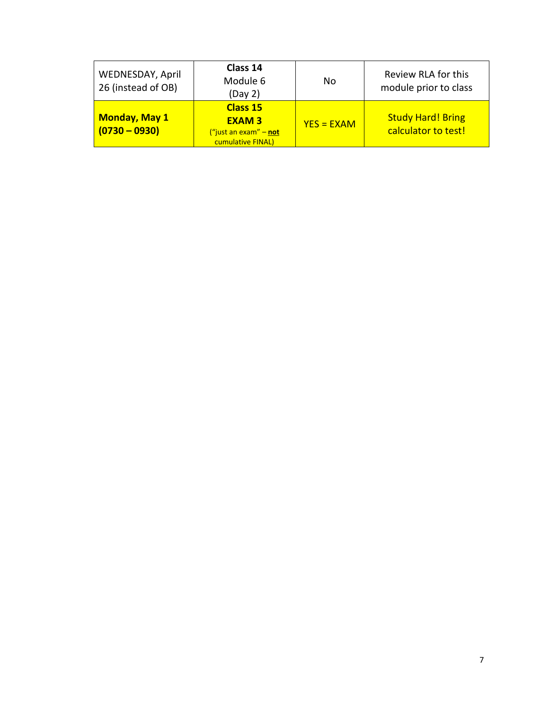| WEDNESDAY, April<br>26 (instead of OB)  | Class 14<br>Module 6<br>(Day 2)                                               | No           | Review RLA for this<br>module prior to class    |
|-----------------------------------------|-------------------------------------------------------------------------------|--------------|-------------------------------------------------|
| <b>Monday, May 1</b><br>$(0730 - 0930)$ | <b>Class 15</b><br><b>EXAM3</b><br>("just an exam" – not<br>cumulative FINAL) | $YES = EXAM$ | <b>Study Hard! Bring</b><br>calculator to test! |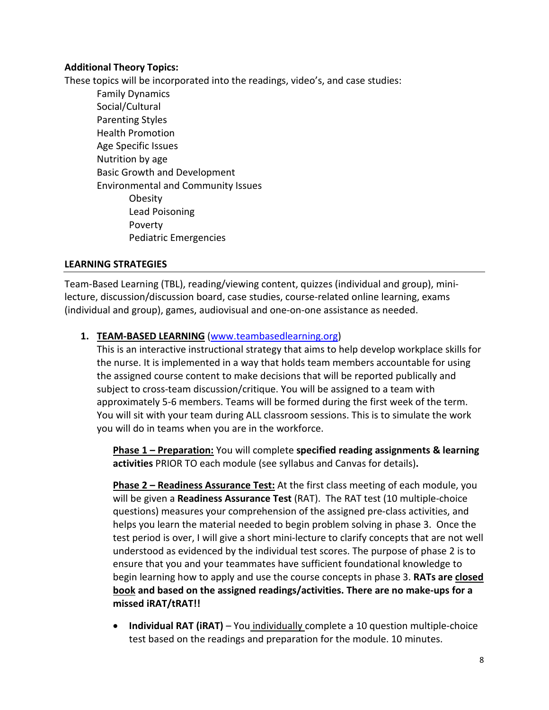#### **Additional Theory Topics:**

These topics will be incorporated into the readings, video's, and case studies:

Family Dynamics Social/Cultural Parenting Styles Health Promotion Age Specific Issues Nutrition by age Basic Growth and Development Environmental and Community Issues **Obesity** Lead Poisoning Poverty Pediatric Emergencies

#### **LEARNING STRATEGIES**

Team-Based Learning (TBL), reading/viewing content, quizzes (individual and group), minilecture, discussion/discussion board, case studies, course-related online learning, exams (individual and group), games, audiovisual and one-on-one assistance as needed.

#### **1. TEAM-BASED LEARNING** [\(www.teambasedlearning.org\)](http://www.teambasedlearning.org/)

This is an interactive instructional strategy that aims to help develop workplace skills for the nurse. It is implemented in a way that holds team members accountable for using the assigned course content to make decisions that will be reported publically and subject to cross-team discussion/critique. You will be assigned to a team with approximately 5-6 members. Teams will be formed during the first week of the term. You will sit with your team during ALL classroom sessions. This is to simulate the work you will do in teams when you are in the workforce.

**Phase 1 – Preparation:** You will complete **specified reading assignments & learning activities** PRIOR TO each module (see syllabus and Canvas for details)**.**

**Phase 2 – Readiness Assurance Test:** At the first class meeting of each module, you will be given a **Readiness Assurance Test** (RAT). The RAT test (10 multiple-choice questions) measures your comprehension of the assigned pre-class activities, and helps you learn the material needed to begin problem solving in phase 3. Once the test period is over, I will give a short mini-lecture to clarify concepts that are not well understood as evidenced by the individual test scores. The purpose of phase 2 is to ensure that you and your teammates have sufficient foundational knowledge to begin learning how to apply and use the course concepts in phase 3. **RATs are closed book and based on the assigned readings/activities. There are no make-ups for a missed iRAT/tRAT!!**

• **Individual RAT (iRAT)** – You individually complete a 10 question multiple-choice test based on the readings and preparation for the module. 10 minutes.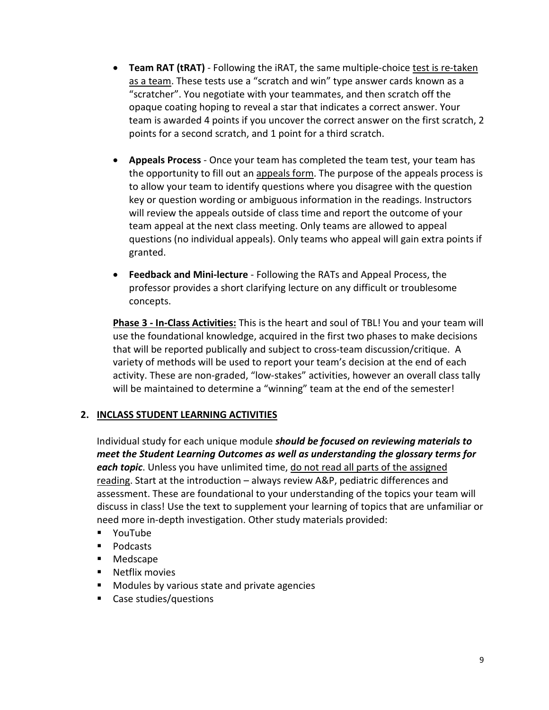- **Team RAT (tRAT)** Following the iRAT, the same multiple-choice test is re-taken as a team. These tests use a "scratch and win" type answer cards known as a "scratcher". You negotiate with your teammates, and then scratch off the opaque coating hoping to reveal a star that indicates a correct answer. Your team is awarded 4 points if you uncover the correct answer on the first scratch, 2 points for a second scratch, and 1 point for a third scratch.
- **Appeals Process** Once your team has completed the team test, your team has the opportunity to fill out an appeals form. The purpose of the appeals process is to allow your team to identify questions where you disagree with the question key or question wording or ambiguous information in the readings. Instructors will review the appeals outside of class time and report the outcome of your team appeal at the next class meeting. Only teams are allowed to appeal questions (no individual appeals). Only teams who appeal will gain extra points if granted.
- **Feedback and Mini-lecture** Following the RATs and Appeal Process, the professor provides a short clarifying lecture on any difficult or troublesome concepts.

**Phase 3 - In-Class Activities:** This is the heart and soul of TBL! You and your team will use the foundational knowledge, acquired in the first two phases to make decisions that will be reported publically and subject to cross-team discussion/critique. A variety of methods will be used to report your team's decision at the end of each activity. These are non-graded, "low-stakes" activities, however an overall class tally will be maintained to determine a "winning" team at the end of the semester!

#### **2. INCLASS STUDENT LEARNING ACTIVITIES**

Individual study for each unique module *should be focused on reviewing materials to meet the Student Learning Outcomes as well as understanding the glossary terms for each topic*. Unless you have unlimited time, do not read all parts of the assigned reading. Start at the introduction – always review A&P, pediatric differences and assessment. These are foundational to your understanding of the topics your team will discuss in class! Use the text to supplement your learning of topics that are unfamiliar or need more in-depth investigation. Other study materials provided:

- **•** YouTube
- **Podcasts**
- **Medscape**
- **Netflix movies**
- **Modules by various state and private agencies**
- Case studies/questions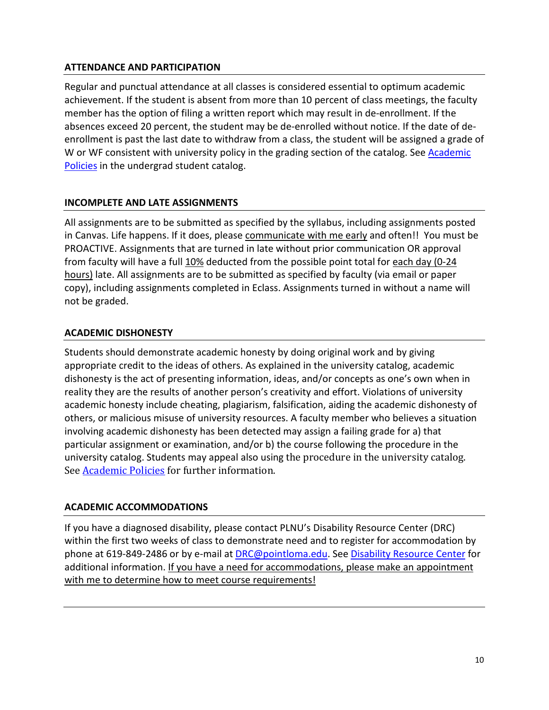#### **ATTENDANCE AND PARTICIPATION**

Regular and punctual attendance at all classes is considered essential to optimum academic achievement. If the student is absent from more than 10 percent of class meetings, the faculty member has the option of filing a written report which may result in de-enrollment. If the absences exceed 20 percent, the student may be de-enrolled without notice. If the date of deenrollment is past the last date to withdraw from a class, the student will be assigned a grade of W or WF consistent with university policy in the grading section of the catalog. See Academic [Policies](http://www.pointloma.edu/experience/academics/catalogs/undergraduate-catalog/point-loma-education/academic-policies) in the undergrad student catalog.

#### **INCOMPLETE AND LATE ASSIGNMENTS**

All assignments are to be submitted as specified by the syllabus, including assignments posted in Canvas. Life happens. If it does, please communicate with me early and often!! You must be PROACTIVE. Assignments that are turned in late without prior communication OR approval from faculty will have a full 10% deducted from the possible point total for each day (0-24 hours) late. All assignments are to be submitted as specified by faculty (via email or paper copy), including assignments completed in Eclass. Assignments turned in without a name will not be graded.

### **ACADEMIC DISHONESTY**

Students should demonstrate academic honesty by doing original work and by giving appropriate credit to the ideas of others. As explained in the university catalog, academic dishonesty is the act of presenting information, ideas, and/or concepts as one's own when in reality they are the results of another person's creativity and effort. Violations of university academic honesty include cheating, plagiarism, falsification, aiding the academic dishonesty of others, or malicious misuse of university resources. A faculty member who believes a situation involving academic dishonesty has been detected may assign a failing grade for a) that particular assignment or examination, and/or b) the course following the procedure in the university catalog. Students may appeal also using the procedure in the university catalog. See **Academic Policies** for further information.

### **ACADEMIC ACCOMMODATIONS**

If you have a diagnosed disability, please contact PLNU's Disability Resource Center (DRC) within the first two weeks of class to demonstrate need and to register for accommodation by phone at 619-849-2486 or by e-mail at [DRC@pointloma.edu.](mailto:DRC@pointloma.edu) See [Disability Resource Center](http://www.pointloma.edu/experience/offices/administrative-offices/academic-advising-office/disability-resource-center) for additional information. If you have a need for accommodations, please make an appointment with me to determine how to meet course requirements!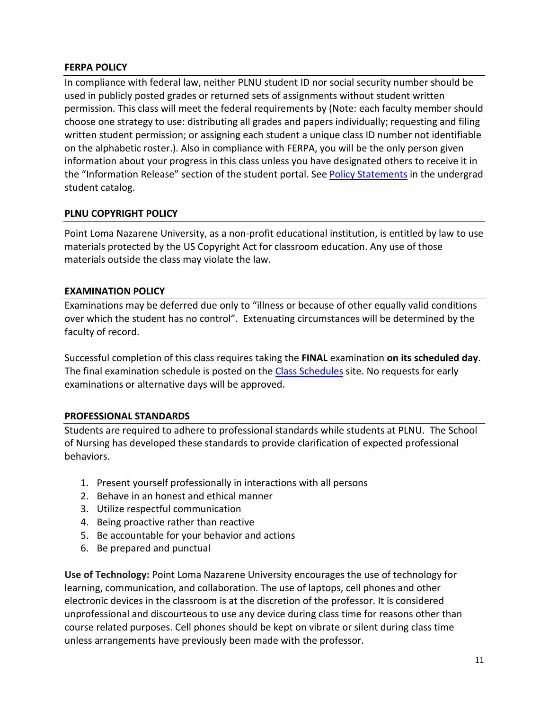#### **FERPA POLICY**

In compliance with federal law, neither PLNU student ID nor social security number should be used in publicly posted grades or returned sets of assignments without student written permission. This class will meet the federal requirements by (Note: each faculty member should choose one strategy to use: distributing all grades and papers individually; requesting and filing written student permission; or assigning each student a unique class ID number not identifiable on the alphabetic roster.). Also in compliance with FERPA, you will be the only person given information about your progress in this class unless you have designated others to receive it in the "Information Release" section of the student portal. See [Policy Statements](http://www.pointloma.edu/experience/academics/catalogs/undergraduate-catalog/policy-statements) in the undergrad student catalog.

#### **PLNU COPYRIGHT POLICY**

Point Loma Nazarene University, as a non-profit educational institution, is entitled by law to use materials protected by the US Copyright Act for classroom education. Any use of those materials outside the class may violate the law.

#### **EXAMINATION POLICY**

Examinations may be deferred due only to "illness or because of other equally valid conditions over which the student has no control". Extenuating circumstances will be determined by the faculty of record.

Successful completion of this class requires taking the **FINAL** examination **on its scheduled day**. The final examination schedule is posted on the [Class Schedules](http://www.pointloma.edu/experience/academics/class-schedules) site. No requests for early examinations or alternative days will be approved.

#### **PROFESSIONAL STANDARDS**

Students are required to adhere to professional standards while students at PLNU. The School of Nursing has developed these standards to provide clarification of expected professional behaviors.

- 1. Present yourself professionally in interactions with all persons
- 2. Behave in an honest and ethical manner
- 3. Utilize respectful communication
- 4. Being proactive rather than reactive
- 5. Be accountable for your behavior and actions
- 6. Be prepared and punctual

**Use of Technology:** Point Loma Nazarene University encourages the use of technology for learning, communication, and collaboration. The use of laptops, cell phones and other electronic devices in the classroom is at the discretion of the professor. It is considered unprofessional and discourteous to use any device during class time for reasons other than course related purposes. Cell phones should be kept on vibrate or silent during class time unless arrangements have previously been made with the professor.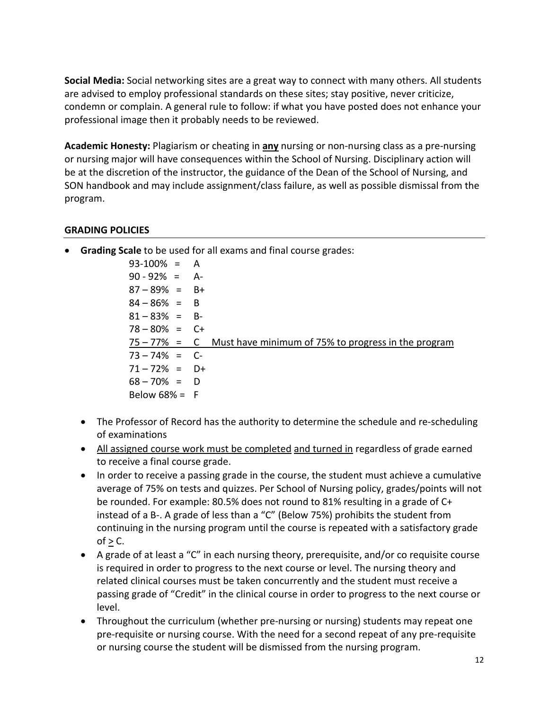**Social Media:** Social networking sites are a great way to connect with many others. All students are advised to employ professional standards on these sites; stay positive, never criticize, condemn or complain. A general rule to follow: if what you have posted does not enhance your professional image then it probably needs to be reviewed.

**Academic Honesty:** Plagiarism or cheating in **any** nursing or non-nursing class as a pre-nursing or nursing major will have consequences within the School of Nursing. Disciplinary action will be at the discretion of the instructor, the guidance of the Dean of the School of Nursing, and SON handbook and may include assignment/class failure, as well as possible dismissal from the program.

#### **GRADING POLICIES**

• **Grading Scale** to be used for all exams and final course grades:

| 93-100% = A      |                                                                     |
|------------------|---------------------------------------------------------------------|
| $90 - 92\% = A$  |                                                                     |
| $87 - 89\% = B+$ |                                                                     |
| $84 - 86\% = B$  |                                                                     |
| $81 - 83\% = B$  |                                                                     |
| 78–80% = C+      |                                                                     |
|                  | $75 - 77\%$ = C Must have minimum of 75% to progress in the program |
| $73 - 74\% = C$  |                                                                     |
| $71 - 72\% = D+$ |                                                                     |
| 68–70% = D       |                                                                     |
| Below $68\% = F$ |                                                                     |

- The Professor of Record has the authority to determine the schedule and re-scheduling of examinations
- All assigned course work must be completed and turned in regardless of grade earned to receive a final course grade.
- In order to receive a passing grade in the course, the student must achieve a cumulative average of 75% on tests and quizzes. Per School of Nursing policy, grades/points will not be rounded. For example: 80.5% does not round to 81% resulting in a grade of C+ instead of a B-. A grade of less than a "C" (Below 75%) prohibits the student from continuing in the nursing program until the course is repeated with a satisfactory grade  $of > C$ .
- A grade of at least a "C" in each nursing theory, prerequisite, and/or co requisite course is required in order to progress to the next course or level. The nursing theory and related clinical courses must be taken concurrently and the student must receive a passing grade of "Credit" in the clinical course in order to progress to the next course or level.
- Throughout the curriculum (whether pre-nursing or nursing) students may repeat one pre-requisite or nursing course. With the need for a second repeat of any pre-requisite or nursing course the student will be dismissed from the nursing program.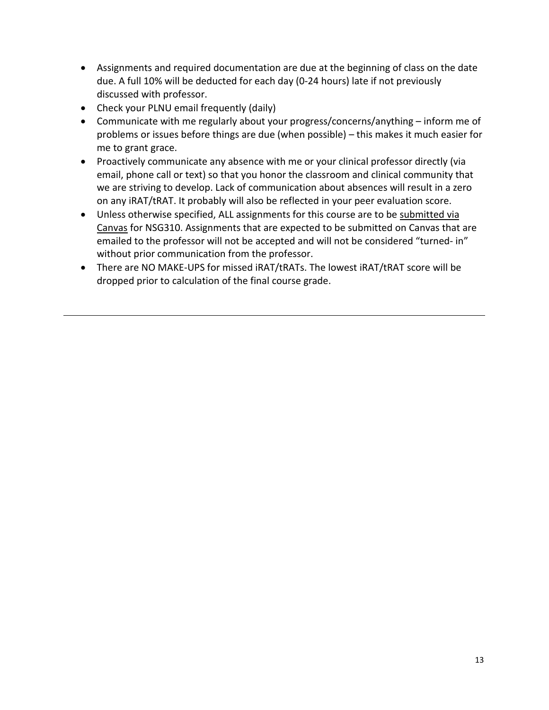- Assignments and required documentation are due at the beginning of class on the date due. A full 10% will be deducted for each day (0-24 hours) late if not previously discussed with professor.
- Check your PLNU email frequently (daily)
- Communicate with me regularly about your progress/concerns/anything inform me of problems or issues before things are due (when possible) – this makes it much easier for me to grant grace.
- Proactively communicate any absence with me or your clinical professor directly (via email, phone call or text) so that you honor the classroom and clinical community that we are striving to develop. Lack of communication about absences will result in a zero on any iRAT/tRAT. It probably will also be reflected in your peer evaluation score.
- Unless otherwise specified, ALL assignments for this course are to be submitted via Canvas for NSG310. Assignments that are expected to be submitted on Canvas that are emailed to the professor will not be accepted and will not be considered "turned- in" without prior communication from the professor.
- There are NO MAKE-UPS for missed iRAT/tRATs. The lowest iRAT/tRAT score will be dropped prior to calculation of the final course grade.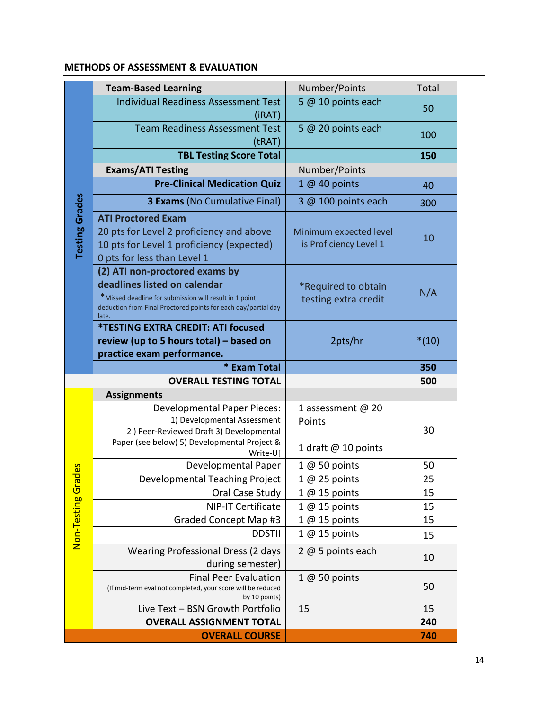#### **METHODS OF ASSESSMENT & EVALUATION**

|                       | <b>Team-Based Learning</b>                                                                                                                                                                          | Number/Points                                    | <b>Total</b> |
|-----------------------|-----------------------------------------------------------------------------------------------------------------------------------------------------------------------------------------------------|--------------------------------------------------|--------------|
|                       | <b>Individual Readiness Assessment Test</b><br>(iRAT)                                                                                                                                               | 5 @ 10 points each                               | 50           |
|                       | <b>Team Readiness Assessment Test</b><br>(tRAT)                                                                                                                                                     | 5 @ 20 points each                               | 100          |
|                       | <b>TBL Testing Score Total</b>                                                                                                                                                                      |                                                  | 150          |
|                       | <b>Exams/ATI Testing</b>                                                                                                                                                                            | Number/Points                                    |              |
|                       | <b>Pre-Clinical Medication Quiz</b>                                                                                                                                                                 | $1@40$ points                                    | 40           |
|                       | <b>3 Exams (No Cumulative Final)</b>                                                                                                                                                                | 3 @ 100 points each                              | 300          |
| <b>Testing Grades</b> | <b>ATI Proctored Exam</b><br>20 pts for Level 2 proficiency and above<br>10 pts for Level 1 proficiency (expected)<br>0 pts for less than Level 1                                                   | Minimum expected level<br>is Proficiency Level 1 | 10           |
|                       | (2) ATI non-proctored exams by<br>deadlines listed on calendar<br>*Missed deadline for submission will result in 1 point<br>deduction from Final Proctored points for each day/partial day<br>late. | *Required to obtain<br>testing extra credit      | N/A          |
|                       | <b>*TESTING EXTRA CREDIT: ATI focused</b><br>review (up to 5 hours total) - based on<br>practice exam performance.                                                                                  | 2pts/hr                                          | $*(10)$      |
|                       |                                                                                                                                                                                                     |                                                  |              |
|                       | * Exam Total                                                                                                                                                                                        |                                                  | 350          |
|                       | <b>OVERALL TESTING TOTAL</b>                                                                                                                                                                        |                                                  | 500          |
|                       | <b>Assignments</b>                                                                                                                                                                                  |                                                  |              |
|                       | <b>Developmental Paper Pieces:</b>                                                                                                                                                                  | 1 assessment $@$ 20                              |              |
|                       | 1) Developmental Assessment                                                                                                                                                                         | Points                                           | 30           |
|                       | 2) Peer-Reviewed Draft 3) Developmental<br>Paper (see below) 5) Developmental Project &<br>Write-U[                                                                                                 | 1 draft @ 10 points                              |              |
|                       | Developmental Paper                                                                                                                                                                                 | $1@50$ points                                    | 50           |
| des                   | Developmental Teaching Project                                                                                                                                                                      | 1 @ 25 points                                    | 25           |
|                       | Oral Case Study                                                                                                                                                                                     | 1 @ 15 points                                    | 15           |
|                       | NIP-IT Certificate                                                                                                                                                                                  | $1@15$ points                                    | 15           |
|                       | Graded Concept Map #3                                                                                                                                                                               | $1@15$ points                                    | 15           |
|                       | <b>DDSTII</b>                                                                                                                                                                                       | $1@15$ points                                    | 15           |
| Non-Testing Gra       | Wearing Professional Dress (2 days<br>during semester)                                                                                                                                              | 2 $@$ 5 points each                              | 10           |
|                       | <b>Final Peer Evaluation</b><br>(If mid-term eval not completed, your score will be reduced<br>by 10 points)                                                                                        | 1 @ 50 points                                    | 50           |
|                       | Live Text - BSN Growth Portfolio                                                                                                                                                                    | 15                                               | 15           |
|                       | <b>OVERALL ASSIGNMENT TOTAL</b><br><b>OVERALL COURSE</b>                                                                                                                                            |                                                  | 240<br>740   |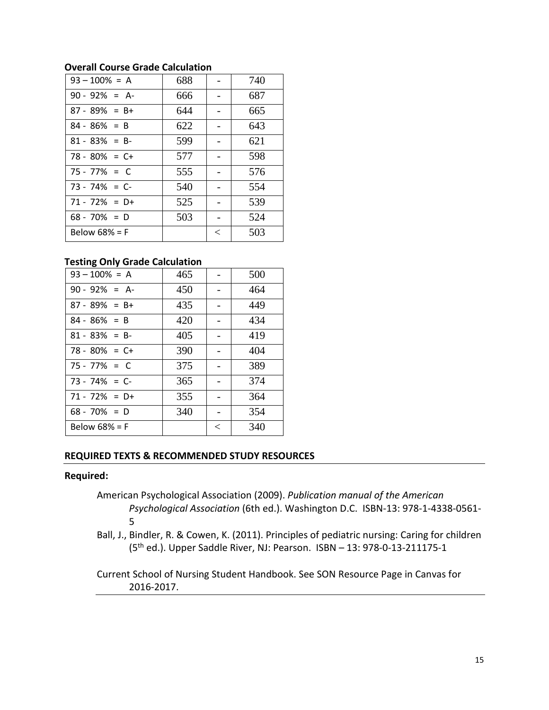#### **Overall Course Grade Calculation**

| $93 - 100\% = A$<br>740<br>688<br>687<br>$90 - 92\% = A$<br>666<br>$87 - 89\% = B +$<br>644<br>665<br>622<br>643<br>$84 - 86\% = B$<br>599<br>621<br>$81 - 83\% = B$<br>577<br>598<br>$78 - 80\% = C +$<br>576<br>555<br>$75 - 77\% = C$<br>$73 - 74\% = C$<br>540<br>554<br>525<br>539<br>$71 - 72\% = D+$<br>503<br>524<br>$68 - 70\% = D$<br>503<br>Below $68\%$ = F<br>$\,<\,$ |  |  |
|------------------------------------------------------------------------------------------------------------------------------------------------------------------------------------------------------------------------------------------------------------------------------------------------------------------------------------------------------------------------------------|--|--|
|                                                                                                                                                                                                                                                                                                                                                                                    |  |  |
|                                                                                                                                                                                                                                                                                                                                                                                    |  |  |
|                                                                                                                                                                                                                                                                                                                                                                                    |  |  |
|                                                                                                                                                                                                                                                                                                                                                                                    |  |  |
|                                                                                                                                                                                                                                                                                                                                                                                    |  |  |
|                                                                                                                                                                                                                                                                                                                                                                                    |  |  |
|                                                                                                                                                                                                                                                                                                                                                                                    |  |  |
|                                                                                                                                                                                                                                                                                                                                                                                    |  |  |
|                                                                                                                                                                                                                                                                                                                                                                                    |  |  |
|                                                                                                                                                                                                                                                                                                                                                                                    |  |  |
|                                                                                                                                                                                                                                                                                                                                                                                    |  |  |

#### **Testing Only Grade Calculation**

| $93 - 100\% = A$  | 465 |       | 500 |
|-------------------|-----|-------|-----|
| $90 - 92\% = A$   | 450 |       | 464 |
| $87 - 89\% = B +$ | 435 |       | 449 |
| $84 - 86\% = B$   | 420 |       | 434 |
| $81 - 83\% = B$   | 405 |       | 419 |
| $78 - 80\% = C +$ | 390 |       | 404 |
| $75 - 77\% = C$   | 375 |       | 389 |
| $73 - 74\% = C$   | 365 |       | 374 |
| $71 - 72\% = D+$  | 355 |       | 364 |
| $68 - 70\% = D$   | 340 |       | 354 |
| Below $68\%$ = F  |     | $\lt$ | 340 |

#### **REQUIRED TEXTS & RECOMMENDED STUDY RESOURCES**

#### **Required:**

- American Psychological Association (2009). *Publication manual of the American Psychological Association* (6th ed.). Washington D.C. ISBN-13: 978-1-4338-0561- 5
- Ball, J., Bindler, R. & Cowen, K. (2011). Principles of pediatric nursing: Caring for children (5th ed.). Upper Saddle River, NJ: Pearson. ISBN – 13: 978-0-13-211175-1

Current School of Nursing Student Handbook. See SON Resource Page in Canvas for 2016-2017.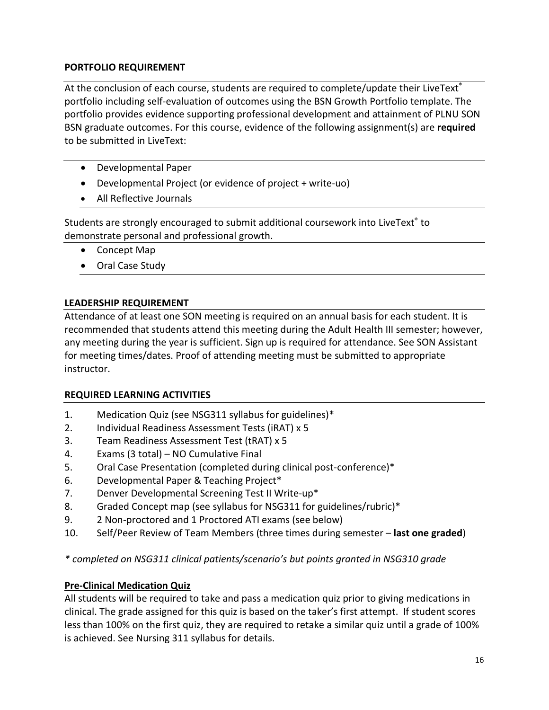#### **PORTFOLIO REQUIREMENT**

At the conclusion of each course, students are required to complete/update their LiveText® portfolio including self-evaluation of outcomes using the BSN Growth Portfolio template. The portfolio provides evidence supporting professional development and attainment of PLNU SON BSN graduate outcomes. For this course, evidence of the following assignment(s) are **required** to be submitted in LiveText:

- Developmental Paper
- Developmental Project (or evidence of project + write-uo)
- All Reflective Journals

Students are strongly encouraged to submit additional coursework into LiveText® to demonstrate personal and professional growth.

- Concept Map
- Oral Case Study

#### **LEADERSHIP REQUIREMENT**

Attendance of at least one SON meeting is required on an annual basis for each student. It is recommended that students attend this meeting during the Adult Health III semester; however, any meeting during the year is sufficient. Sign up is required for attendance. See SON Assistant for meeting times/dates. Proof of attending meeting must be submitted to appropriate instructor.

#### **REQUIRED LEARNING ACTIVITIES**

- 1. Medication Quiz (see NSG311 syllabus for guidelines)\*
- 2. Individual Readiness Assessment Tests (iRAT) x 5
- 3. Team Readiness Assessment Test (tRAT) x 5
- 4. Exams (3 total) NO Cumulative Final
- 5. Oral Case Presentation (completed during clinical post-conference)\*
- 6. Developmental Paper & Teaching Project\*
- 7. Denver Developmental Screening Test II Write-up\*
- 8. Graded Concept map (see syllabus for NSG311 for guidelines/rubric)\*
- 9. 2 Non-proctored and 1 Proctored ATI exams (see below)
- 10. Self/Peer Review of Team Members (three times during semester **last one graded**)

*\* completed on NSG311 clinical patients/scenario's but points granted in NSG310 grade*

#### **Pre-Clinical Medication Quiz**

All students will be required to take and pass a medication quiz prior to giving medications in clinical. The grade assigned for this quiz is based on the taker's first attempt. If student scores less than 100% on the first quiz, they are required to retake a similar quiz until a grade of 100% is achieved. See Nursing 311 syllabus for details.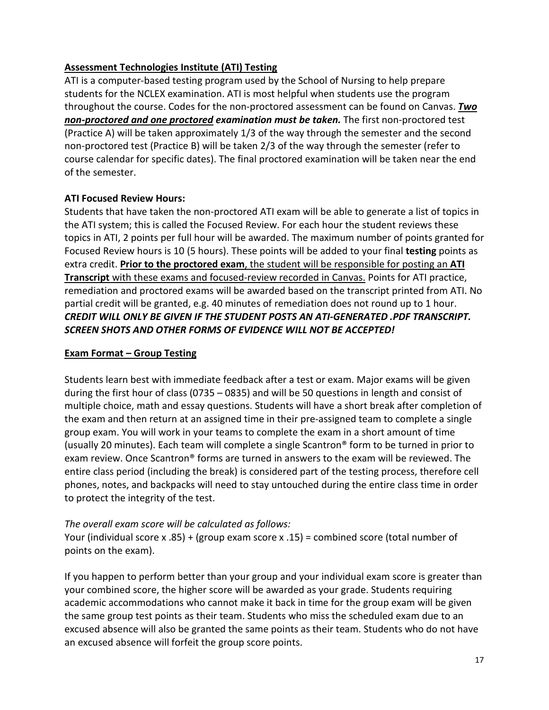#### **Assessment Technologies Institute (ATI) Testing**

ATI is a computer-based testing program used by the School of Nursing to help prepare students for the NCLEX examination. ATI is most helpful when students use the program throughout the course. Codes for the non-proctored assessment can be found on Canvas. *Two non-proctored and one proctored examination must be taken.* The first non-proctored test (Practice A) will be taken approximately 1/3 of the way through the semester and the second non-proctored test (Practice B) will be taken 2/3 of the way through the semester (refer to course calendar for specific dates). The final proctored examination will be taken near the end of the semester.

#### **ATI Focused Review Hours:**

Students that have taken the non-proctored ATI exam will be able to generate a list of topics in the ATI system; this is called the Focused Review. For each hour the student reviews these topics in ATI, 2 points per full hour will be awarded. The maximum number of points granted for Focused Review hours is 10 (5 hours). These points will be added to your final **testing** points as extra credit. **Prior to the proctored exam**, the student will be responsible for posting an **ATI Transcript** with these exams and focused-review recorded in Canvas. Points for ATI practice, remediation and proctored exams will be awarded based on the transcript printed from ATI. No partial credit will be granted, e.g. 40 minutes of remediation does not round up to 1 hour. *CREDIT WILL ONLY BE GIVEN IF THE STUDENT POSTS AN ATI-GENERATED .PDF TRANSCRIPT. SCREEN SHOTS AND OTHER FORMS OF EVIDENCE WILL NOT BE ACCEPTED!*

#### **Exam Format – Group Testing**

Students learn best with immediate feedback after a test or exam. Major exams will be given during the first hour of class (0735 – 0835) and will be 50 questions in length and consist of multiple choice, math and essay questions. Students will have a short break after completion of the exam and then return at an assigned time in their pre-assigned team to complete a single group exam. You will work in your teams to complete the exam in a short amount of time (usually 20 minutes). Each team will complete a single Scantron® form to be turned in prior to exam review. Once Scantron® forms are turned in answers to the exam will be reviewed. The entire class period (including the break) is considered part of the testing process, therefore cell phones, notes, and backpacks will need to stay untouched during the entire class time in order to protect the integrity of the test.

#### *The overall exam score will be calculated as follows:*

Your (individual score x .85) + (group exam score x .15) = combined score (total number of points on the exam).

If you happen to perform better than your group and your individual exam score is greater than your combined score, the higher score will be awarded as your grade. Students requiring academic accommodations who cannot make it back in time for the group exam will be given the same group test points as their team. Students who miss the scheduled exam due to an excused absence will also be granted the same points as their team. Students who do not have an excused absence will forfeit the group score points.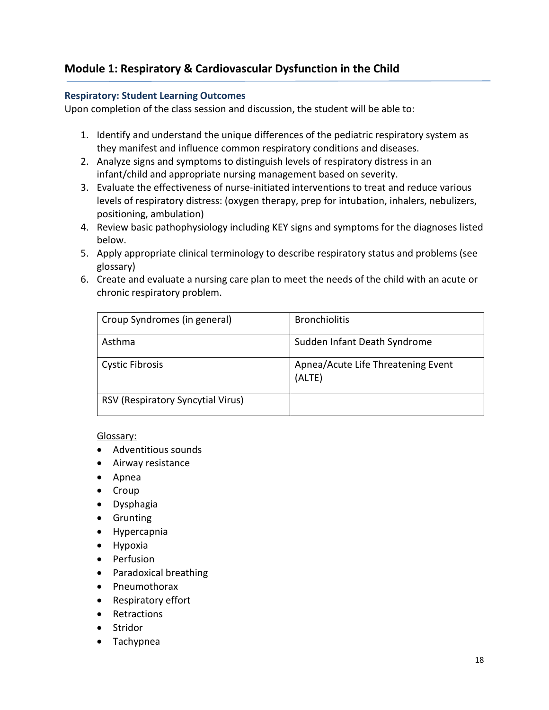## **Module 1: Respiratory & Cardiovascular Dysfunction in the Child**

#### **Respiratory: Student Learning Outcomes**

Upon completion of the class session and discussion, the student will be able to:

- 1. Identify and understand the unique differences of the pediatric respiratory system as they manifest and influence common respiratory conditions and diseases.
- 2. Analyze signs and symptoms to distinguish levels of respiratory distress in an infant/child and appropriate nursing management based on severity.
- 3. Evaluate the effectiveness of nurse-initiated interventions to treat and reduce various levels of respiratory distress: (oxygen therapy, prep for intubation, inhalers, nebulizers, positioning, ambulation)
- 4. Review basic pathophysiology including KEY signs and symptoms for the diagnoses listed below.
- 5. Apply appropriate clinical terminology to describe respiratory status and problems (see glossary)
- 6. Create and evaluate a nursing care plan to meet the needs of the child with an acute or chronic respiratory problem.

| Croup Syndromes (in general)      | <b>Bronchiolitis</b>                         |
|-----------------------------------|----------------------------------------------|
| Asthma                            | Sudden Infant Death Syndrome                 |
| <b>Cystic Fibrosis</b>            | Apnea/Acute Life Threatening Event<br>(ALTE) |
| RSV (Respiratory Syncytial Virus) |                                              |

#### Glossary:

- Adventitious sounds
- Airway resistance
- Apnea
- Croup
- Dysphagia
- Grunting
- Hypercapnia
- Hypoxia
- Perfusion
- Paradoxical breathing
- Pneumothorax
- Respiratory effort
- Retractions
- Stridor
- Tachypnea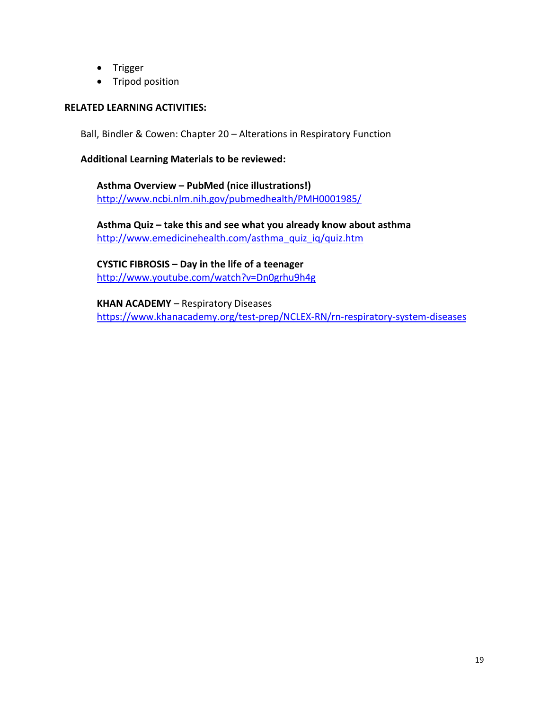- Trigger
- Tripod position

#### **RELATED LEARNING ACTIVITIES:**

Ball, Bindler & Cowen: Chapter 20 – Alterations in Respiratory Function

#### **Additional Learning Materials to be reviewed:**

**Asthma Overview – PubMed (nice illustrations!)** <http://www.ncbi.nlm.nih.gov/pubmedhealth/PMH0001985/>

**Asthma Quiz – take this and see what you already know about asthma** [http://www.emedicinehealth.com/asthma\\_quiz\\_iq/quiz.htm](http://www.emedicinehealth.com/asthma_quiz_iq/quiz.htm)

**CYSTIC FIBROSIS – Day in the life of a teenager** <http://www.youtube.com/watch?v=Dn0grhu9h4g>

**KHAN ACADEMY** – Respiratory Diseases <https://www.khanacademy.org/test-prep/NCLEX-RN/rn-respiratory-system-diseases>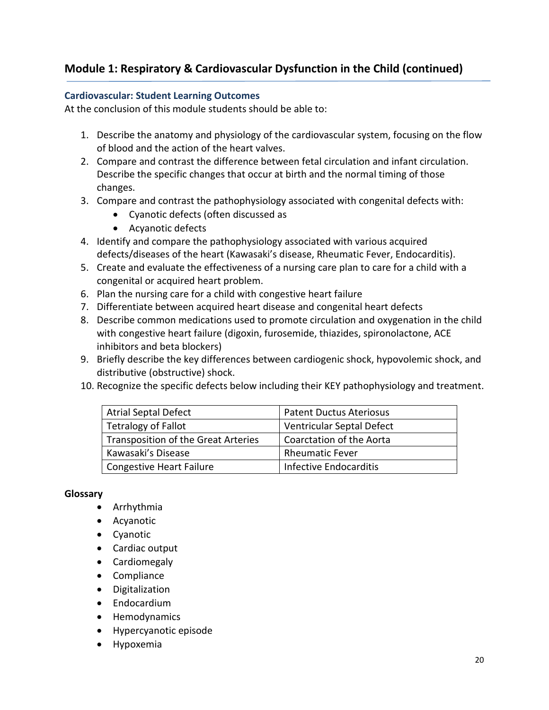## **Module 1: Respiratory & Cardiovascular Dysfunction in the Child (continued)**

#### **Cardiovascular: Student Learning Outcomes**

At the conclusion of this module students should be able to:

- 1. Describe the anatomy and physiology of the cardiovascular system, focusing on the flow of blood and the action of the heart valves.
- 2. Compare and contrast the difference between fetal circulation and infant circulation. Describe the specific changes that occur at birth and the normal timing of those changes.
- 3. Compare and contrast the pathophysiology associated with congenital defects with:
	- Cyanotic defects (often discussed as
	- Acyanotic defects
- 4. Identify and compare the pathophysiology associated with various acquired defects/diseases of the heart (Kawasaki's disease, Rheumatic Fever, Endocarditis).
- 5. Create and evaluate the effectiveness of a nursing care plan to care for a child with a congenital or acquired heart problem.
- 6. Plan the nursing care for a child with congestive heart failure
- 7. Differentiate between acquired heart disease and congenital heart defects
- 8. Describe common medications used to promote circulation and oxygenation in the child with congestive heart failure (digoxin, furosemide, thiazides, spironolactone, ACE inhibitors and beta blockers)
- 9. Briefly describe the key differences between cardiogenic shock, hypovolemic shock, and distributive (obstructive) shock.
- 10. Recognize the specific defects below including their KEY pathophysiology and treatment.

| <b>Atrial Septal Defect</b>                | <b>Patent Ductus Ateriosus</b> |
|--------------------------------------------|--------------------------------|
| <b>Tetralogy of Fallot</b>                 | Ventricular Septal Defect      |
| <b>Transposition of the Great Arteries</b> | Coarctation of the Aorta       |
| Kawasaki's Disease                         | <b>Rheumatic Fever</b>         |
| <b>Congestive Heart Failure</b>            | Infective Endocarditis         |
|                                            |                                |

#### **Glossary**

- Arrhythmia
- Acyanotic
- Cyanotic
- Cardiac output
- Cardiomegaly
- Compliance
- Digitalization
- Endocardium
- Hemodynamics
- Hypercyanotic episode
- Hypoxemia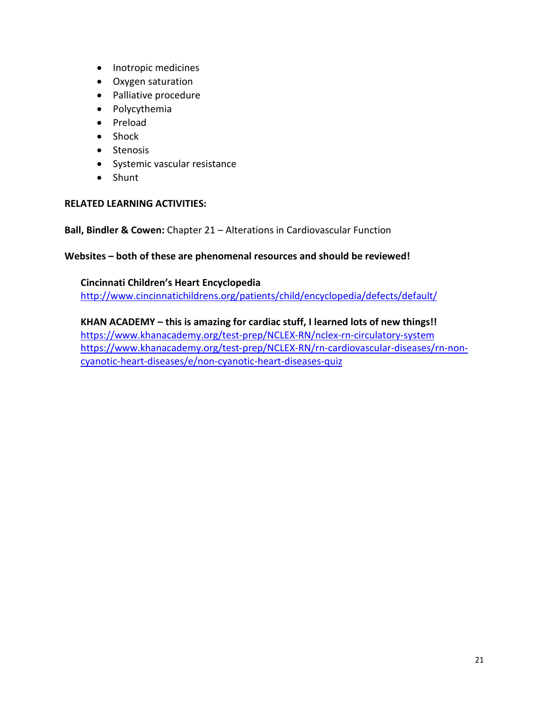- Inotropic medicines
- Oxygen saturation
- Palliative procedure
- Polycythemia
- Preload
- Shock
- Stenosis
- Systemic vascular resistance
- Shunt

#### **RELATED LEARNING ACTIVITIES:**

**Ball, Bindler & Cowen:** Chapter 21 – Alterations in Cardiovascular Function

#### **Websites – both of these are phenomenal resources and should be reviewed!**

**Cincinnati Children's Heart Encyclopedia** <http://www.cincinnatichildrens.org/patients/child/encyclopedia/defects/default/>

**KHAN ACADEMY – this is amazing for cardiac stuff, I learned lots of new things!!** <https://www.khanacademy.org/test-prep/NCLEX-RN/nclex-rn-circulatory-system> [https://www.khanacademy.org/test-prep/NCLEX-RN/rn-cardiovascular-diseases/rn-non](https://www.khanacademy.org/test-prep/NCLEX-RN/rn-cardiovascular-diseases/rn-non-cyanotic-heart-diseases/e/non-cyanotic-heart-diseases-quiz)[cyanotic-heart-diseases/e/non-cyanotic-heart-diseases-quiz](https://www.khanacademy.org/test-prep/NCLEX-RN/rn-cardiovascular-diseases/rn-non-cyanotic-heart-diseases/e/non-cyanotic-heart-diseases-quiz)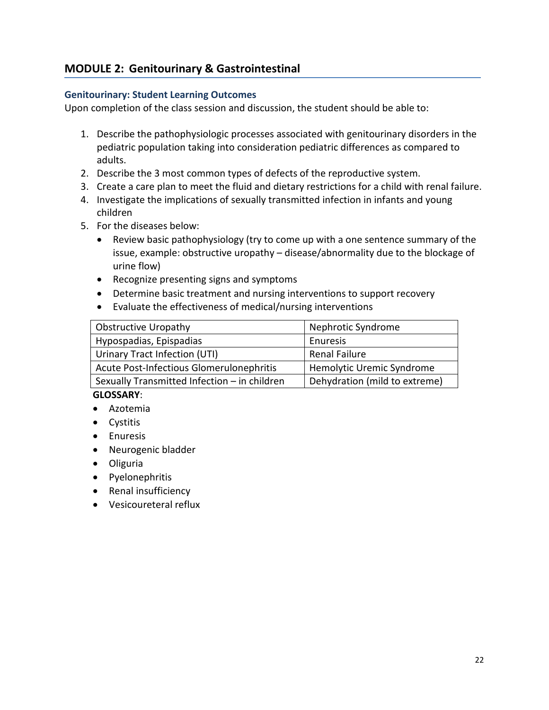## **MODULE 2: Genitourinary & Gastrointestinal**

#### **Genitourinary: Student Learning Outcomes**

Upon completion of the class session and discussion, the student should be able to:

- 1. Describe the pathophysiologic processes associated with genitourinary disorders in the pediatric population taking into consideration pediatric differences as compared to adults.
- 2. Describe the 3 most common types of defects of the reproductive system.
- 3. Create a care plan to meet the fluid and dietary restrictions for a child with renal failure.
- 4. Investigate the implications of sexually transmitted infection in infants and young children
- 5. For the diseases below:
	- Review basic pathophysiology (try to come up with a one sentence summary of the issue, example: obstructive uropathy – disease/abnormality due to the blockage of urine flow)
	- Recognize presenting signs and symptoms
	- Determine basic treatment and nursing interventions to support recovery
	- Evaluate the effectiveness of medical/nursing interventions

| <b>Obstructive Uropathy</b>                  | Nephrotic Syndrome            |
|----------------------------------------------|-------------------------------|
| Hypospadias, Epispadias                      | Enuresis                      |
| Urinary Tract Infection (UTI)                | <b>Renal Failure</b>          |
| Acute Post-Infectious Glomerulonephritis     | Hemolytic Uremic Syndrome     |
| Sexually Transmitted Infection - in children | Dehydration (mild to extreme) |

#### **GLOSSARY**:

- Azotemia
- Cystitis
- Enuresis
- Neurogenic bladder
- Oliguria
- Pyelonephritis
- Renal insufficiency
- Vesicoureteral reflux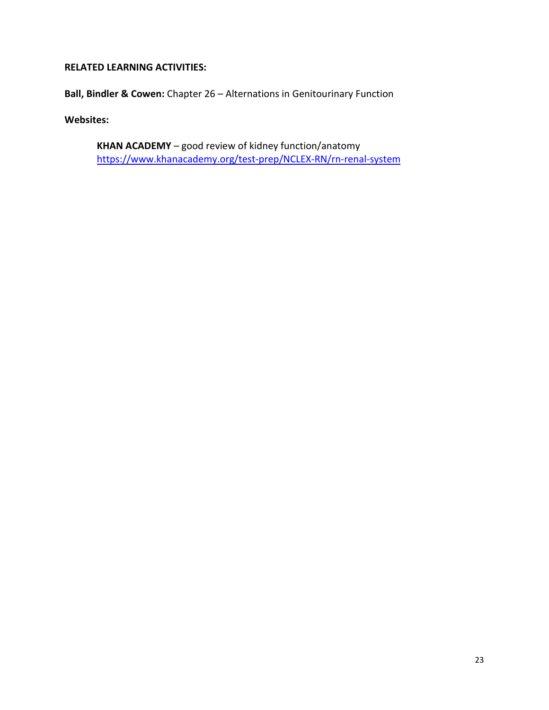#### **RELATED LEARNING ACTIVITIES:**

**Ball, Bindler & Cowen:** Chapter 26 – Alternations in Genitourinary Function

**Websites:**

**KHAN ACADEMY** – good review of kidney function/anatomy <https://www.khanacademy.org/test-prep/NCLEX-RN/rn-renal-system>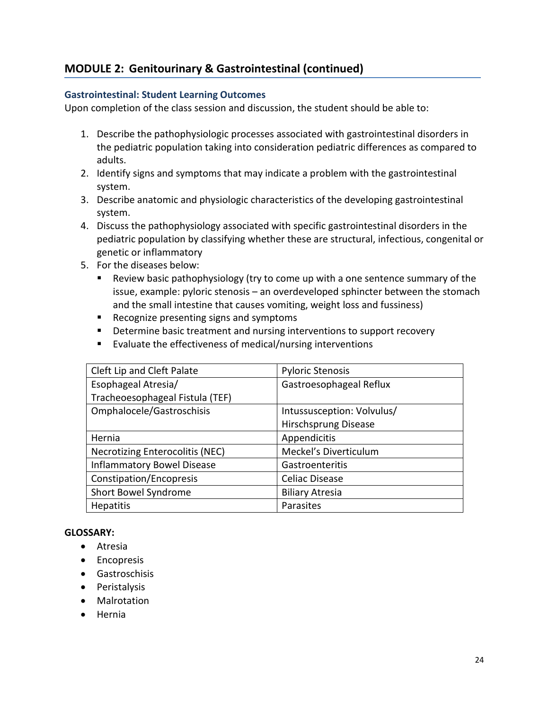## **MODULE 2: Genitourinary & Gastrointestinal (continued)**

#### **Gastrointestinal: Student Learning Outcomes**

Upon completion of the class session and discussion, the student should be able to:

- 1. Describe the pathophysiologic processes associated with gastrointestinal disorders in the pediatric population taking into consideration pediatric differences as compared to adults.
- 2. Identify signs and symptoms that may indicate a problem with the gastrointestinal system.
- 3. Describe anatomic and physiologic characteristics of the developing gastrointestinal system.
- 4. Discuss the pathophysiology associated with specific gastrointestinal disorders in the pediatric population by classifying whether these are structural, infectious, congenital or genetic or inflammatory
- 5. For the diseases below:
	- Review basic pathophysiology (try to come up with a one sentence summary of the issue, example: pyloric stenosis – an overdeveloped sphincter between the stomach and the small intestine that causes vomiting, weight loss and fussiness)
	- **Recognize presenting signs and symptoms**
	- **•** Determine basic treatment and nursing interventions to support recovery
	- **Evaluate the effectiveness of medical/nursing interventions**

| Cleft Lip and Cleft Palate        | <b>Pyloric Stenosis</b>    |
|-----------------------------------|----------------------------|
| Esophageal Atresia/               | Gastroesophageal Reflux    |
| Tracheoesophageal Fistula (TEF)   |                            |
| Omphalocele/Gastroschisis         | Intussusception: Volvulus/ |
|                                   | Hirschsprung Disease       |
| Hernia                            | Appendicitis               |
| Necrotizing Enterocolitis (NEC)   | Meckel's Diverticulum      |
| <b>Inflammatory Bowel Disease</b> | Gastroenteritis            |
| Constipation/Encopresis           | <b>Celiac Disease</b>      |
| Short Bowel Syndrome              | <b>Biliary Atresia</b>     |
| <b>Hepatitis</b>                  | Parasites                  |

#### **GLOSSARY:**

- Atresia
- Encopresis
- Gastroschisis
- Peristalysis
- Malrotation
- Hernia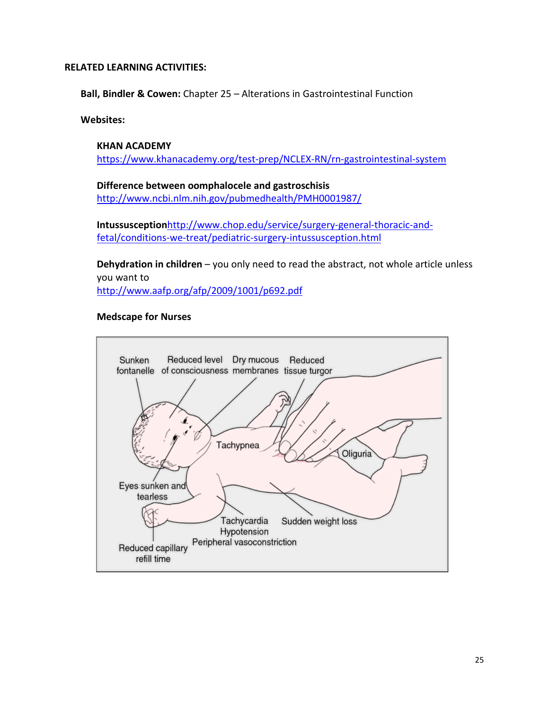#### **RELATED LEARNING ACTIVITIES:**

**Ball, Bindler & Cowen:** Chapter 25 – Alterations in Gastrointestinal Function

**Websites:**

#### **KHAN ACADEMY**

<https://www.khanacademy.org/test-prep/NCLEX-RN/rn-gastrointestinal-system>

**Difference between oomphalocele and gastroschisis** <http://www.ncbi.nlm.nih.gov/pubmedhealth/PMH0001987/>

**Intussusception**[http://www.chop.edu/service/surgery-general-thoracic-and](http://www.chop.edu/service/surgery-general-thoracic-and-fetal/conditions-we-treat/pediatric-surgery-intussusception.html)[fetal/conditions-we-treat/pediatric-surgery-intussusception.html](http://www.chop.edu/service/surgery-general-thoracic-and-fetal/conditions-we-treat/pediatric-surgery-intussusception.html)

**Dehydration in children** – you only need to read the abstract, not whole article unless you want to

<http://www.aafp.org/afp/2009/1001/p692.pdf>

#### **Medscape for Nurses**

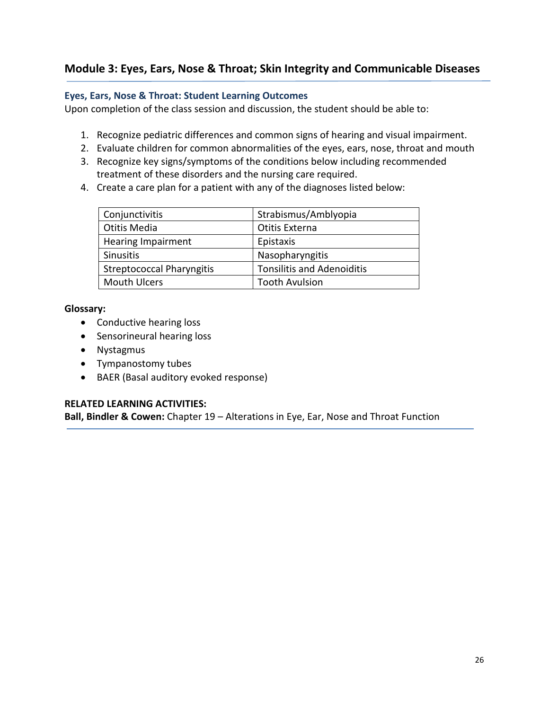### **Module 3: Eyes, Ears, Nose & Throat; Skin Integrity and Communicable Diseases**

#### **Eyes, Ears, Nose & Throat: Student Learning Outcomes**

Upon completion of the class session and discussion, the student should be able to:

- 1. Recognize pediatric differences and common signs of hearing and visual impairment.
- 2. Evaluate children for common abnormalities of the eyes, ears, nose, throat and mouth
- 3. Recognize key signs/symptoms of the conditions below including recommended treatment of these disorders and the nursing care required.
- 4. Create a care plan for a patient with any of the diagnoses listed below:

| Conjunctivitis                   | Strabismus/Amblyopia              |
|----------------------------------|-----------------------------------|
| Otitis Media                     | Otitis Externa                    |
| <b>Hearing Impairment</b>        | Epistaxis                         |
| <b>Sinusitis</b>                 | Nasopharyngitis                   |
| <b>Streptococcal Pharyngitis</b> | <b>Tonsilitis and Adenoiditis</b> |
| <b>Mouth Ulcers</b>              | <b>Tooth Avulsion</b>             |

#### **Glossary:**

- Conductive hearing loss
- Sensorineural hearing loss
- Nystagmus
- Tympanostomy tubes
- BAER (Basal auditory evoked response)

#### **RELATED LEARNING ACTIVITIES:**

**Ball, Bindler & Cowen:** Chapter 19 – Alterations in Eye, Ear, Nose and Throat Function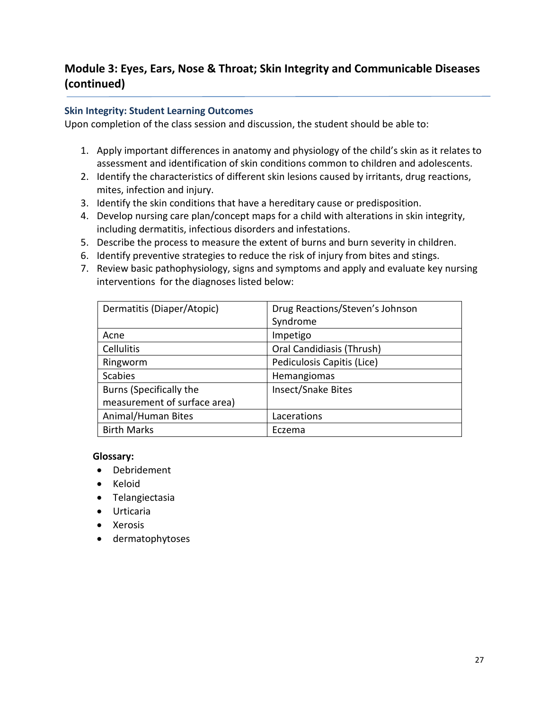## **Module 3: Eyes, Ears, Nose & Throat; Skin Integrity and Communicable Diseases (continued)**

#### **Skin Integrity: Student Learning Outcomes**

Upon completion of the class session and discussion, the student should be able to:

- 1. Apply important differences in anatomy and physiology of the child's skin as it relates to assessment and identification of skin conditions common to children and adolescents.
- 2. Identify the characteristics of different skin lesions caused by irritants, drug reactions, mites, infection and injury.
- 3. Identify the skin conditions that have a hereditary cause or predisposition.
- 4. Develop nursing care plan/concept maps for a child with alterations in skin integrity, including dermatitis, infectious disorders and infestations.
- 5. Describe the process to measure the extent of burns and burn severity in children.
- 6. Identify preventive strategies to reduce the risk of injury from bites and stings.
- 7. Review basic pathophysiology, signs and symptoms and apply and evaluate key nursing interventions for the diagnoses listed below:

| Dermatitis (Diaper/Atopic)     | Drug Reactions/Steven's Johnson |  |  |
|--------------------------------|---------------------------------|--|--|
|                                | Syndrome                        |  |  |
| Acne                           | Impetigo                        |  |  |
| <b>Cellulitis</b>              | Oral Candidiasis (Thrush)       |  |  |
| Ringworm                       | Pediculosis Capitis (Lice)      |  |  |
| <b>Scabies</b>                 | Hemangiomas                     |  |  |
| <b>Burns (Specifically the</b> | Insect/Snake Bites              |  |  |
| measurement of surface area)   |                                 |  |  |
| Animal/Human Bites             | Lacerations                     |  |  |
| <b>Birth Marks</b>             | Eczema                          |  |  |

#### **Glossary:**

- Debridement
- Keloid
- Telangiectasia
- Urticaria
- Xerosis
- dermatophytoses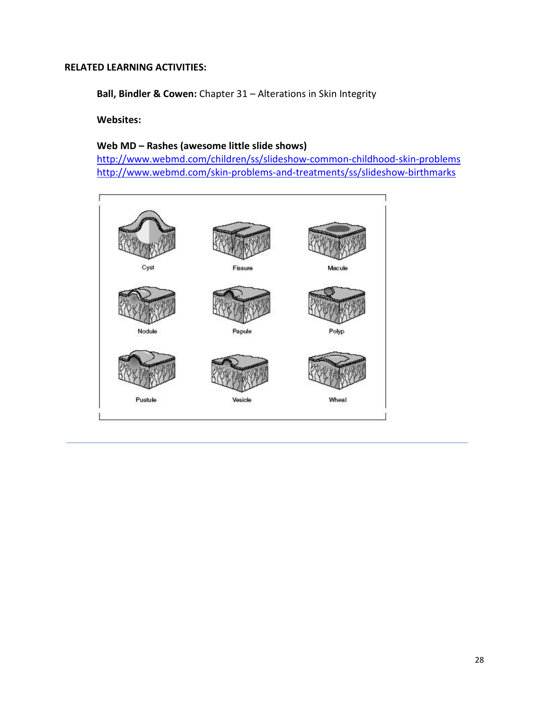#### **RELATED LEARNING ACTIVITIES:**

**Ball, Bindler & Cowen:** Chapter 31 – Alterations in Skin Integrity

**Websites:** 

### **Web MD – Rashes (awesome little slide shows)**

<http://www.webmd.com/children/ss/slideshow-common-childhood-skin-problems> <http://www.webmd.com/skin-problems-and-treatments/ss/slideshow-birthmarks>

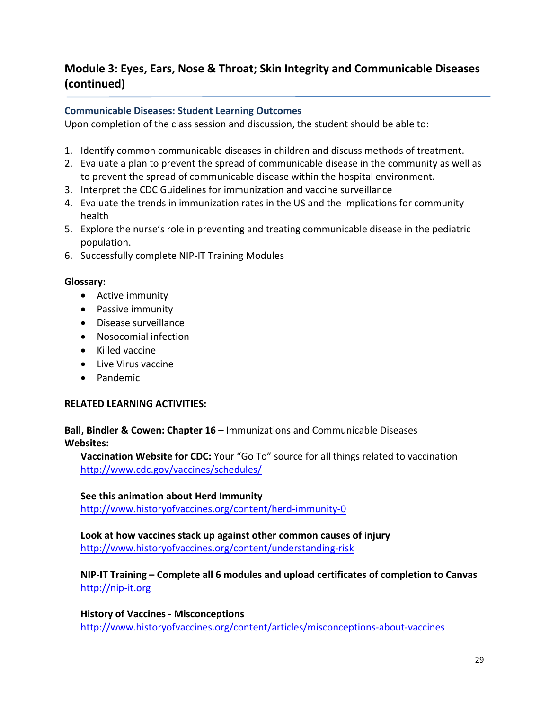## **Module 3: Eyes, Ears, Nose & Throat; Skin Integrity and Communicable Diseases (continued)**

#### **Communicable Diseases: Student Learning Outcomes**

Upon completion of the class session and discussion, the student should be able to:

- 1. Identify common communicable diseases in children and discuss methods of treatment.
- 2. Evaluate a plan to prevent the spread of communicable disease in the community as well as to prevent the spread of communicable disease within the hospital environment.
- 3. Interpret the CDC Guidelines for immunization and vaccine surveillance
- 4. Evaluate the trends in immunization rates in the US and the implications for community health
- 5. Explore the nurse's role in preventing and treating communicable disease in the pediatric population.
- 6. Successfully complete NIP-IT Training Modules

#### **Glossary:**

- Active immunity
- Passive immunity
- Disease surveillance
- Nosocomial infection
- Killed vaccine
- Live Virus vaccine
- Pandemic

#### **RELATED LEARNING ACTIVITIES:**

**Ball, Bindler & Cowen: Chapter 16 –** Immunizations and Communicable Diseases **Websites:**

**Vaccination Website for CDC:** Your "Go To" source for all things related to vaccination <http://www.cdc.gov/vaccines/schedules/>

#### **See this animation about Herd Immunity**

<http://www.historyofvaccines.org/content/herd-immunity-0>

**Look at how vaccines stack up against other common causes of injury** <http://www.historyofvaccines.org/content/understanding-risk>

**NIP-IT Training – Complete all 6 modules and upload certificates of completion to Canvas** [http://nip-it.org](http://nip-it.org/)

**History of Vaccines - Misconceptions** http://www.historyofvaccines.org/content/articles/misconceptions-about-vaccines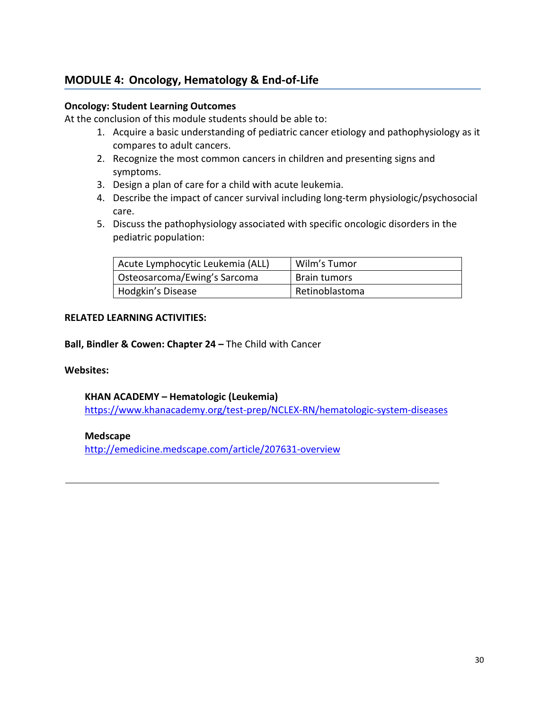## **MODULE 4: Oncology, Hematology & End-of-Life**

#### **Oncology: Student Learning Outcomes**

At the conclusion of this module students should be able to:

- 1. Acquire a basic understanding of pediatric cancer etiology and pathophysiology as it compares to adult cancers.
- 2. Recognize the most common cancers in children and presenting signs and symptoms.
- 3. Design a plan of care for a child with acute leukemia.
- 4. Describe the impact of cancer survival including long-term physiologic/psychosocial care.
- 5. Discuss the pathophysiology associated with specific oncologic disorders in the pediatric population:

| Acute Lymphocytic Leukemia (ALL) | Wilm's Tumor   |
|----------------------------------|----------------|
| Osteosarcoma/Ewing's Sarcoma     | Brain tumors   |
| Hodgkin's Disease                | Retinoblastoma |

#### **RELATED LEARNING ACTIVITIES:**

**Ball, Bindler & Cowen: Chapter 24 –** The Child with Cancer

#### **Websites:**

**KHAN ACADEMY – Hematologic (Leukemia)**

<https://www.khanacademy.org/test-prep/NCLEX-RN/hematologic-system-diseases>

#### **Medscape**

<http://emedicine.medscape.com/article/207631-overview>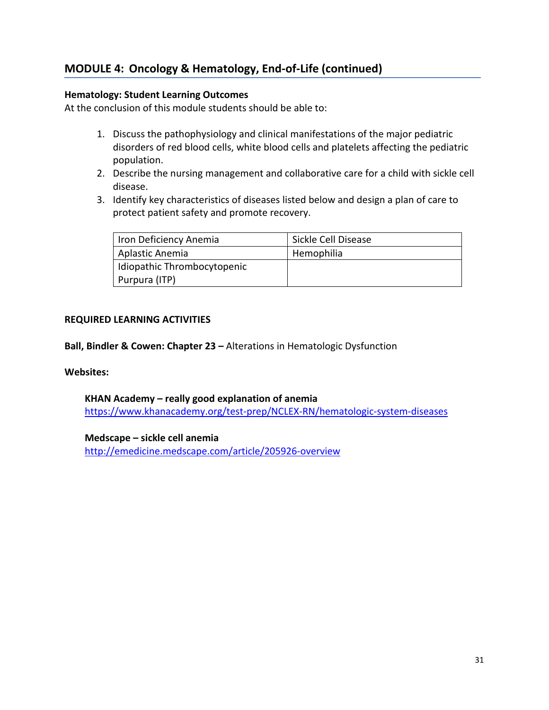## **MODULE 4: Oncology & Hematology, End-of-Life (continued)**

#### **Hematology: Student Learning Outcomes**

At the conclusion of this module students should be able to:

- 1. Discuss the pathophysiology and clinical manifestations of the major pediatric disorders of red blood cells, white blood cells and platelets affecting the pediatric population.
- 2. Describe the nursing management and collaborative care for a child with sickle cell disease.
- 3. Identify key characteristics of diseases listed below and design a plan of care to protect patient safety and promote recovery.

| Iron Deficiency Anemia        | Sickle Cell Disease |
|-------------------------------|---------------------|
| Aplastic Anemia               | <b>Hemophilia</b>   |
| I Idiopathic Thrombocytopenic |                     |
| Purpura (ITP)                 |                     |

#### **REQUIRED LEARNING ACTIVITIES**

**Ball, Bindler & Cowen: Chapter 23 –** Alterations in Hematologic Dysfunction

#### **Websites:**

**KHAN Academy – really good explanation of anemia** <https://www.khanacademy.org/test-prep/NCLEX-RN/hematologic-system-diseases>

**Medscape – sickle cell anemia**

<http://emedicine.medscape.com/article/205926-overview>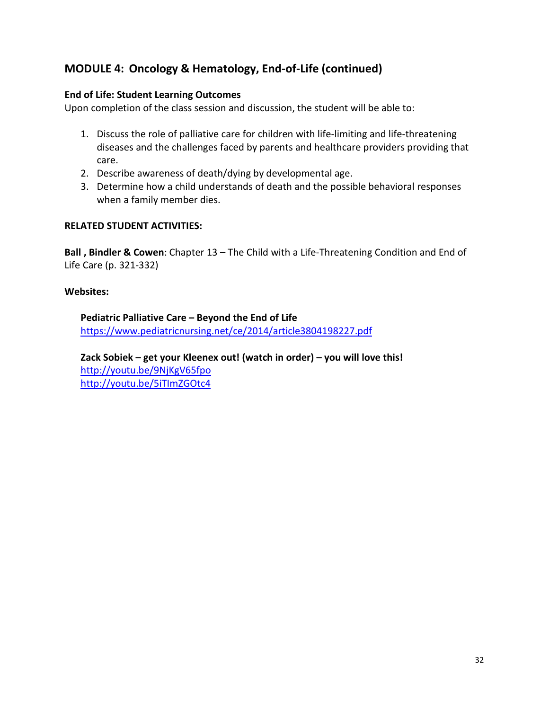## **MODULE 4: Oncology & Hematology, End-of-Life (continued)**

#### **End of Life: Student Learning Outcomes**

Upon completion of the class session and discussion, the student will be able to:

- 1. Discuss the role of palliative care for children with life-limiting and life-threatening diseases and the challenges faced by parents and healthcare providers providing that care.
- 2. Describe awareness of death/dying by developmental age.
- 3. Determine how a child understands of death and the possible behavioral responses when a family member dies.

#### **RELATED STUDENT ACTIVITIES:**

**Ball , Bindler & Cowen**: Chapter 13 – The Child with a Life-Threatening Condition and End of Life Care (p. 321-332)

#### **Websites:**

**Pediatric Palliative Care – Beyond the End of Life** <https://www.pediatricnursing.net/ce/2014/article3804198227.pdf>

**Zack Sobiek – get your Kleenex out! (watch in order) – you will love this!** <http://youtu.be/9NjKgV65fpo> <http://youtu.be/5iTImZGOtc4>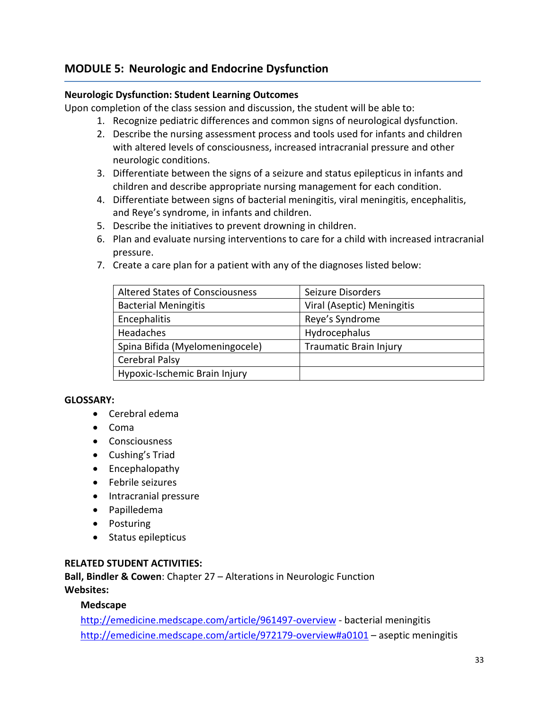## **MODULE 5: Neurologic and Endocrine Dysfunction**

#### **Neurologic Dysfunction: Student Learning Outcomes**

Upon completion of the class session and discussion, the student will be able to:

- 1. Recognize pediatric differences and common signs of neurological dysfunction.
- 2. Describe the nursing assessment process and tools used for infants and children with altered levels of consciousness, increased intracranial pressure and other neurologic conditions.
- 3. Differentiate between the signs of a seizure and status epilepticus in infants and children and describe appropriate nursing management for each condition.
- 4. Differentiate between signs of bacterial meningitis, viral meningitis, encephalitis, and Reye's syndrome, in infants and children.
- 5. Describe the initiatives to prevent drowning in children.
- 6. Plan and evaluate nursing interventions to care for a child with increased intracranial pressure.
- 7. Create a care plan for a patient with any of the diagnoses listed below:

| <b>Altered States of Consciousness</b> | Seizure Disorders          |
|----------------------------------------|----------------------------|
| <b>Bacterial Meningitis</b>            | Viral (Aseptic) Meningitis |
| Encephalitis                           | Reye's Syndrome            |
| Headaches                              | Hydrocephalus              |
| Spina Bifida (Myelomeningocele)        | Traumatic Brain Injury     |
| <b>Cerebral Palsy</b>                  |                            |
| Hypoxic-Ischemic Brain Injury          |                            |

#### **GLOSSARY:**

- Cerebral edema
- Coma
- Consciousness
- Cushing's Triad
- Encephalopathy
- Febrile seizures
- Intracranial pressure
- Papilledema
- Posturing
- Status epilepticus

#### **RELATED STUDENT ACTIVITIES:**

**Ball, Bindler & Cowen**: Chapter 27 – Alterations in Neurologic Function **Websites:**

#### **Medscape**

<http://emedicine.medscape.com/article/961497-overview> - bacterial meningitis <http://emedicine.medscape.com/article/972179-overview#a0101> – aseptic meningitis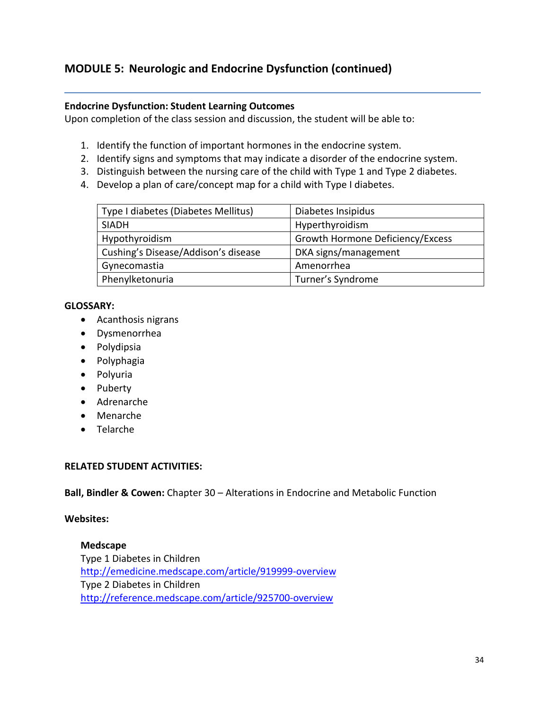## **MODULE 5: Neurologic and Endocrine Dysfunction (continued)**

#### **Endocrine Dysfunction: Student Learning Outcomes**

Upon completion of the class session and discussion, the student will be able to:

- 1. Identify the function of important hormones in the endocrine system.
- 2. Identify signs and symptoms that may indicate a disorder of the endocrine system.
- 3. Distinguish between the nursing care of the child with Type 1 and Type 2 diabetes.
- 4. Develop a plan of care/concept map for a child with Type I diabetes.

| Type I diabetes (Diabetes Mellitus) | Diabetes Insipidus               |
|-------------------------------------|----------------------------------|
| <b>SIADH</b>                        | Hyperthyroidism                  |
| Hypothyroidism                      | Growth Hormone Deficiency/Excess |
| Cushing's Disease/Addison's disease | DKA signs/management             |
| Gynecomastia                        | Amenorrhea                       |
| Phenylketonuria                     | Turner's Syndrome                |

#### **GLOSSARY:**

- Acanthosis nigrans
- Dysmenorrhea
- Polydipsia
- Polyphagia
- Polyuria
- Puberty
- Adrenarche
- Menarche
- Telarche

#### **RELATED STUDENT ACTIVITIES:**

**Ball, Bindler & Cowen:** Chapter 30 – Alterations in Endocrine and Metabolic Function

#### **Websites:**

**Medscape** Type 1 Diabetes in Children <http://emedicine.medscape.com/article/919999-overview> Type 2 Diabetes in Children <http://reference.medscape.com/article/925700-overview>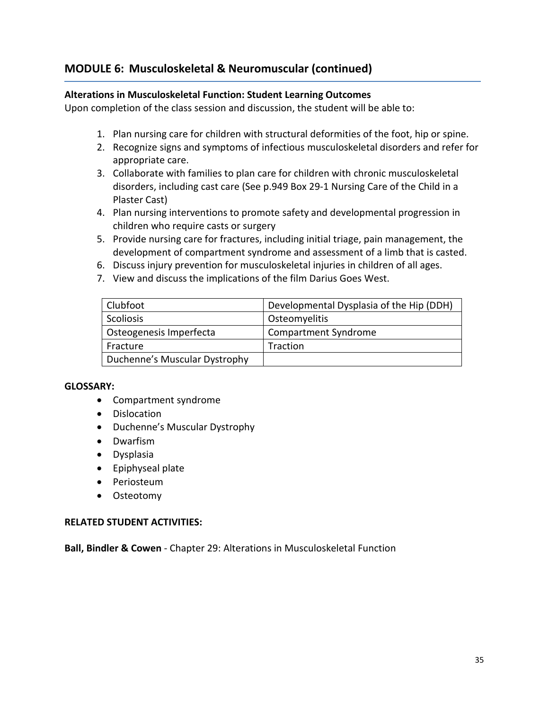### **MODULE 6: Musculoskeletal & Neuromuscular (continued)**

#### **Alterations in Musculoskeletal Function: Student Learning Outcomes**

Upon completion of the class session and discussion, the student will be able to:

- 1. Plan nursing care for children with structural deformities of the foot, hip or spine.
- 2. Recognize signs and symptoms of infectious musculoskeletal disorders and refer for appropriate care.
- 3. Collaborate with families to plan care for children with chronic musculoskeletal disorders, including cast care (See p.949 Box 29-1 Nursing Care of the Child in a Plaster Cast)
- 4. Plan nursing interventions to promote safety and developmental progression in children who require casts or surgery
- 5. Provide nursing care for fractures, including initial triage, pain management, the development of compartment syndrome and assessment of a limb that is casted.
- 6. Discuss injury prevention for musculoskeletal injuries in children of all ages.
- 7. View and discuss the implications of the film Darius Goes West.

| Clubfoot                      | Developmental Dysplasia of the Hip (DDH) |
|-------------------------------|------------------------------------------|
| Scoliosis                     | Osteomyelitis                            |
| Osteogenesis Imperfecta       | <b>Compartment Syndrome</b>              |
| Fracture                      | Traction                                 |
| Duchenne's Muscular Dystrophy |                                          |

#### **GLOSSARY:**

- Compartment syndrome
- Dislocation
- Duchenne's Muscular Dystrophy
- Dwarfism
- Dysplasia
- Epiphyseal plate
- Periosteum
- Osteotomy

#### **RELATED STUDENT ACTIVITIES:**

**Ball, Bindler & Cowen** - Chapter 29: Alterations in Musculoskeletal Function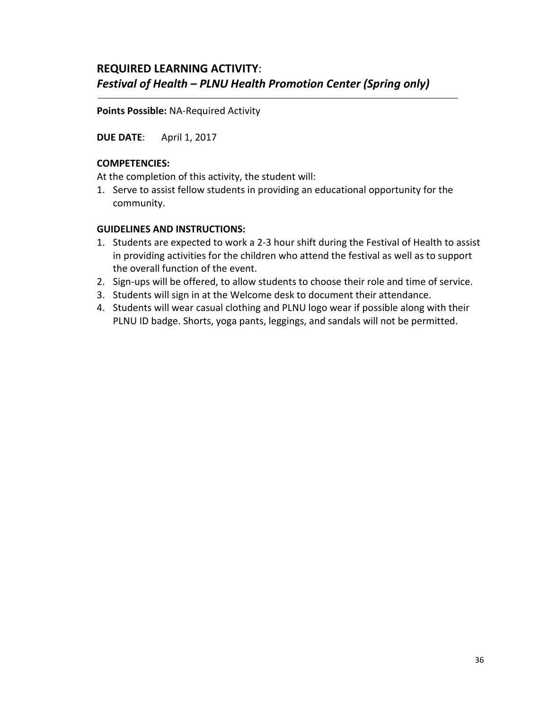## **REQUIRED LEARNING ACTIVITY**: *Festival of Health – PLNU Health Promotion Center (Spring only)*

**Points Possible:** NA-Required Activity

**DUE DATE**: April 1, 2017

#### **COMPETENCIES:**

At the completion of this activity, the student will:

1. Serve to assist fellow students in providing an educational opportunity for the community.

#### **GUIDELINES AND INSTRUCTIONS:**

- 1. Students are expected to work a 2-3 hour shift during the Festival of Health to assist in providing activities for the children who attend the festival as well as to support the overall function of the event.
- 2. Sign-ups will be offered, to allow students to choose their role and time of service.
- 3. Students will sign in at the Welcome desk to document their attendance.
- 4. Students will wear casual clothing and PLNU logo wear if possible along with their PLNU ID badge. Shorts, yoga pants, leggings, and sandals will not be permitted.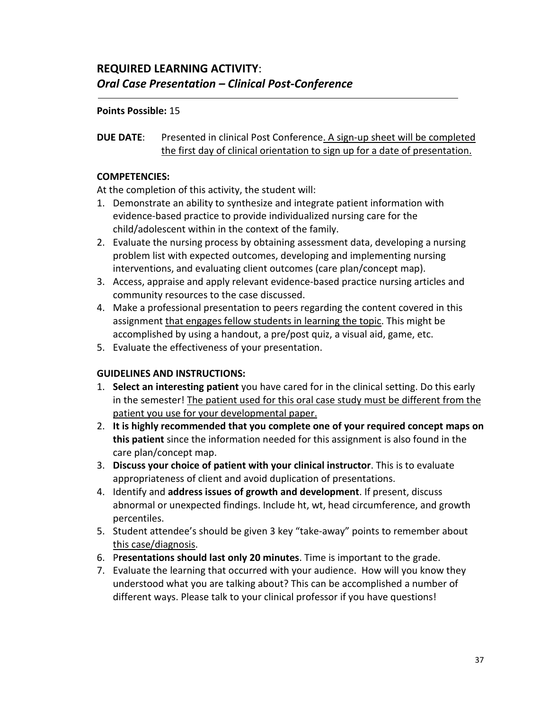## **REQUIRED LEARNING ACTIVITY**: *Oral Case Presentation – Clinical Post-Conference*

#### **Points Possible:** 15

**DUE DATE**: Presented in clinical Post Conference. A sign-up sheet will be completed the first day of clinical orientation to sign up for a date of presentation.

#### **COMPETENCIES:**

At the completion of this activity, the student will:

- 1. Demonstrate an ability to synthesize and integrate patient information with evidence-based practice to provide individualized nursing care for the child/adolescent within in the context of the family.
- 2. Evaluate the nursing process by obtaining assessment data, developing a nursing problem list with expected outcomes, developing and implementing nursing interventions, and evaluating client outcomes (care plan/concept map).
- 3. Access, appraise and apply relevant evidence-based practice nursing articles and community resources to the case discussed.
- 4. Make a professional presentation to peers regarding the content covered in this assignment that engages fellow students in learning the topic. This might be accomplished by using a handout, a pre/post quiz, a visual aid, game, etc.
- 5. Evaluate the effectiveness of your presentation.

#### **GUIDELINES AND INSTRUCTIONS:**

- 1. **Select an interesting patient** you have cared for in the clinical setting. Do this early in the semester! The patient used for this oral case study must be different from the patient you use for your developmental paper.
- 2. **It is highly recommended that you complete one of your required concept maps on this patient** since the information needed for this assignment is also found in the care plan/concept map.
- 3. **Discuss your choice of patient with your clinical instructor**. This is to evaluate appropriateness of client and avoid duplication of presentations.
- 4. Identify and **address issues of growth and development**. If present, discuss abnormal or unexpected findings. Include ht, wt, head circumference, and growth percentiles.
- 5. Student attendee's should be given 3 key "take-away" points to remember about this case/diagnosis.
- 6. P**resentations should last only 20 minutes**. Time is important to the grade.
- 7. Evaluate the learning that occurred with your audience. How will you know they understood what you are talking about? This can be accomplished a number of different ways. Please talk to your clinical professor if you have questions!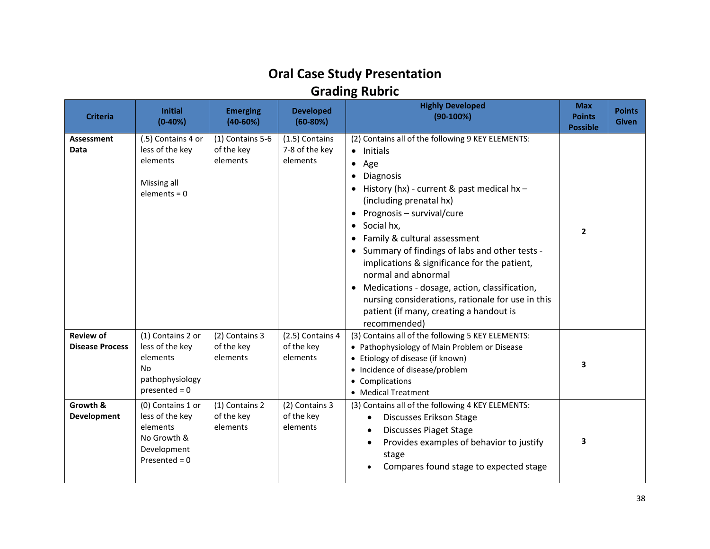## **Oral Case Study Presentation Grading Rubric**

| <b>Criteria</b>                            | <b>Initial</b><br>$(0-40%)$                                                                         | <b>Emerging</b><br>$(40-60%)$                | <b>Developed</b><br>$(60-80%)$               | <b>Highly Developed</b><br>$(90-100%)$                                                                                                                                                                                                                                                                                                                                                                                                                                                                                                                                                                              | <b>Max</b><br><b>Points</b><br><b>Possible</b> | <b>Points</b><br><b>Given</b> |
|--------------------------------------------|-----------------------------------------------------------------------------------------------------|----------------------------------------------|----------------------------------------------|---------------------------------------------------------------------------------------------------------------------------------------------------------------------------------------------------------------------------------------------------------------------------------------------------------------------------------------------------------------------------------------------------------------------------------------------------------------------------------------------------------------------------------------------------------------------------------------------------------------------|------------------------------------------------|-------------------------------|
| <b>Assessment</b><br>Data                  | (.5) Contains 4 or<br>less of the key<br>elements<br>Missing all<br>$elements = 0$                  | $(1)$ Contains 5-6<br>of the key<br>elements | (1.5) Contains<br>7-8 of the key<br>elements | (2) Contains all of the following 9 KEY ELEMENTS:<br><b>Initials</b><br>$\bullet$<br>Age<br>$\bullet$<br>Diagnosis<br>$\bullet$<br>History (hx) - current & past medical hx -<br>(including prenatal hx)<br>Prognosis - survival/cure<br>$\bullet$<br>Social hx,<br>$\bullet$<br>Family & cultural assessment<br>Summary of findings of labs and other tests -<br>implications & significance for the patient,<br>normal and abnormal<br>Medications - dosage, action, classification,<br>$\bullet$<br>nursing considerations, rationale for use in this<br>patient (if many, creating a handout is<br>recommended) | $\mathbf{2}$                                   |                               |
| <b>Review of</b><br><b>Disease Process</b> | (1) Contains 2 or<br>less of the key<br>elements<br><b>No</b><br>pathophysiology<br>$presented = 0$ | (2) Contains 3<br>of the key<br>elements     | (2.5) Contains 4<br>of the key<br>elements   | (3) Contains all of the following 5 KEY ELEMENTS:<br>• Pathophysiology of Main Problem or Disease<br>• Etiology of disease (if known)<br>• Incidence of disease/problem<br>• Complications<br>• Medical Treatment                                                                                                                                                                                                                                                                                                                                                                                                   | 3                                              |                               |
| Growth &<br><b>Development</b>             | (0) Contains 1 or<br>less of the key<br>elements<br>No Growth &<br>Development<br>Presented = $0$   | (1) Contains 2<br>of the key<br>elements     | (2) Contains 3<br>of the key<br>elements     | (3) Contains all of the following 4 KEY ELEMENTS:<br>Discusses Erikson Stage<br><b>Discusses Piaget Stage</b><br>Provides examples of behavior to justify<br>stage<br>Compares found stage to expected stage                                                                                                                                                                                                                                                                                                                                                                                                        | 3                                              |                               |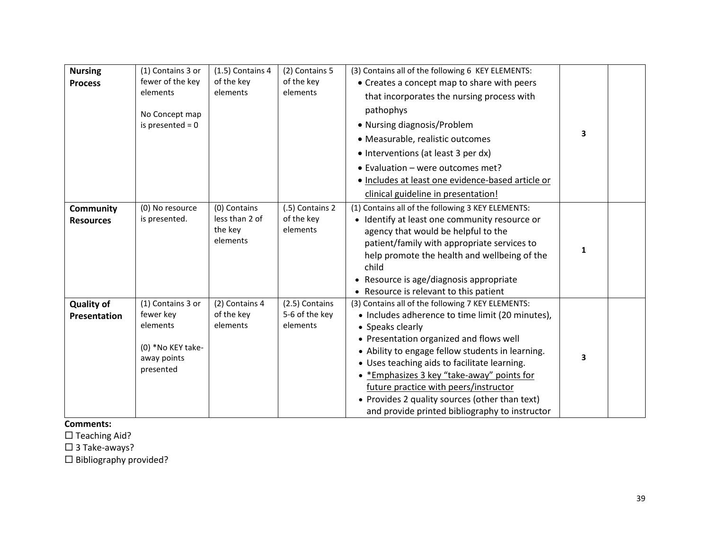| <b>Nursing</b><br><b>Process</b>         | (1) Contains 3 or<br>fewer of the key<br>elements<br>No Concept map<br>is presented $= 0$   | (1.5) Contains 4<br>of the key<br>elements            | (2) Contains 5<br>of the key<br>elements     | (3) Contains all of the following 6 KEY ELEMENTS:<br>• Creates a concept map to share with peers<br>that incorporates the nursing process with<br>pathophys<br>• Nursing diagnosis/Problem<br>• Measurable, realistic outcomes<br>• Interventions (at least 3 per dx)<br>• Evaluation - were outcomes met?<br>· Includes at least one evidence-based article or<br>clinical guideline in presentation!                                                              | $\overline{\mathbf{3}}$ |  |
|------------------------------------------|---------------------------------------------------------------------------------------------|-------------------------------------------------------|----------------------------------------------|---------------------------------------------------------------------------------------------------------------------------------------------------------------------------------------------------------------------------------------------------------------------------------------------------------------------------------------------------------------------------------------------------------------------------------------------------------------------|-------------------------|--|
| <b>Community</b><br><b>Resources</b>     | (0) No resource<br>is presented.                                                            | (0) Contains<br>less than 2 of<br>the key<br>elements | (.5) Contains 2<br>of the key<br>elements    | (1) Contains all of the following 3 KEY ELEMENTS:<br>• Identify at least one community resource or<br>agency that would be helpful to the<br>patient/family with appropriate services to<br>help promote the health and wellbeing of the<br>child<br>• Resource is age/diagnosis appropriate<br>• Resource is relevant to this patient                                                                                                                              | $\mathbf{1}$            |  |
| <b>Quality of</b><br><b>Presentation</b> | (1) Contains 3 or<br>fewer key<br>elements<br>(0) *No KEY take-<br>away points<br>presented | (2) Contains 4<br>of the key<br>elements              | (2.5) Contains<br>5-6 of the key<br>elements | (3) Contains all of the following 7 KEY ELEMENTS:<br>• Includes adherence to time limit (20 minutes),<br>• Speaks clearly<br>• Presentation organized and flows well<br>• Ability to engage fellow students in learning.<br>• Uses teaching aids to facilitate learning.<br>• *Emphasizes 3 key "take-away" points for<br>future practice with peers/instructor<br>• Provides 2 quality sources (other than text)<br>and provide printed bibliography to instructor | 3                       |  |

**Comments:**

 $\square$  Teaching Aid?

□ 3 Take-aways?

 $\square$  Bibliography provided?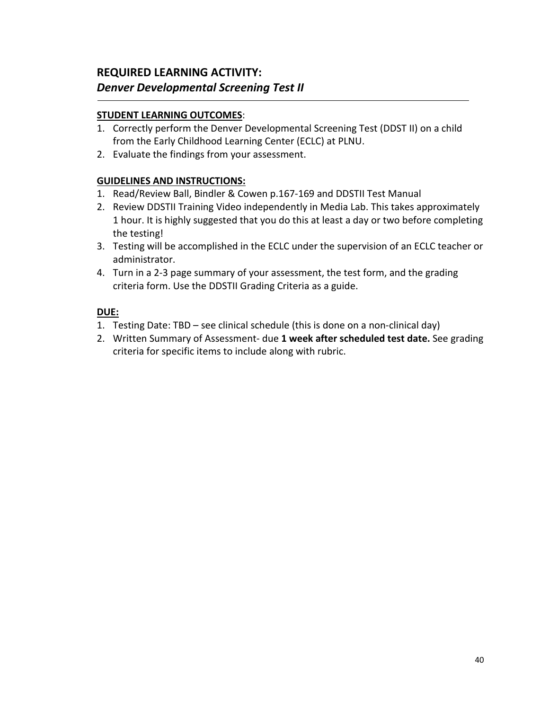## **REQUIRED LEARNING ACTIVITY:**  *Denver Developmental Screening Test II*

### **STUDENT LEARNING OUTCOMES**:

- 1. Correctly perform the Denver Developmental Screening Test (DDST II) on a child from the Early Childhood Learning Center (ECLC) at PLNU.
- 2. Evaluate the findings from your assessment.

### **GUIDELINES AND INSTRUCTIONS:**

- 1. Read/Review Ball, Bindler & Cowen p.167-169 and DDSTII Test Manual
- 2. Review DDSTII Training Video independently in Media Lab. This takes approximately 1 hour. It is highly suggested that you do this at least a day or two before completing the testing!
- 3. Testing will be accomplished in the ECLC under the supervision of an ECLC teacher or administrator.
- 4. Turn in a 2-3 page summary of your assessment, the test form, and the grading criteria form. Use the DDSTII Grading Criteria as a guide.

### **DUE:**

- 1. Testing Date: TBD see clinical schedule (this is done on a non-clinical day)
- 2. Written Summary of Assessment- due **1 week after scheduled test date.** See grading criteria for specific items to include along with rubric.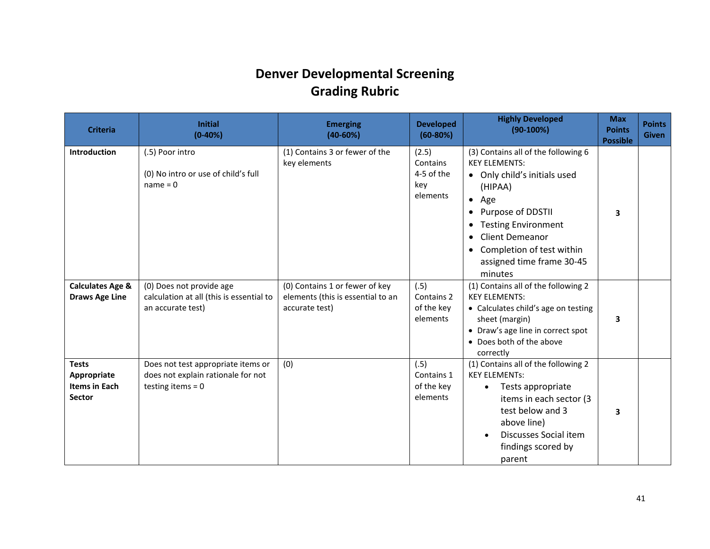# **Denver Developmental Screening Grading Rubric**

| <b>Criteria</b>                                                      | <b>Initial</b><br>$(0-40%)$                                                                     | <b>Emerging</b><br>$(40-60%)$                                                         | <b>Developed</b><br>$(60-80%)$                     | <b>Highly Developed</b><br>$(90-100%)$                                                                                                                                                                                                                                                                           | <b>Max</b><br><b>Points</b><br><b>Possible</b> | <b>Points</b><br><b>Given</b> |
|----------------------------------------------------------------------|-------------------------------------------------------------------------------------------------|---------------------------------------------------------------------------------------|----------------------------------------------------|------------------------------------------------------------------------------------------------------------------------------------------------------------------------------------------------------------------------------------------------------------------------------------------------------------------|------------------------------------------------|-------------------------------|
| <b>Introduction</b>                                                  | (.5) Poor intro<br>(0) No intro or use of child's full<br>$name = 0$                            | (1) Contains 3 or fewer of the<br>key elements                                        | (2.5)<br>Contains<br>4-5 of the<br>key<br>elements | (3) Contains all of the following 6<br><b>KEY ELEMENTS:</b><br>• Only child's initials used<br>(HIPAA)<br>$\bullet$ Age<br>Purpose of DDSTII<br>$\bullet$<br><b>Testing Environment</b><br><b>Client Demeanor</b><br>$\bullet$<br>Completion of test within<br>$\bullet$<br>assigned time frame 30-45<br>minutes | 3                                              |                               |
| <b>Calculates Age &amp;</b><br><b>Draws Age Line</b>                 | (0) Does not provide age<br>calculation at all (this is essential to<br>an accurate test)       | (0) Contains 1 or fewer of key<br>elements (this is essential to an<br>accurate test) | (.5)<br>Contains 2<br>of the key<br>elements       | (1) Contains all of the following 2<br><b>KEY ELEMENTS:</b><br>• Calculates child's age on testing<br>sheet (margin)<br>• Draw's age line in correct spot<br>• Does both of the above<br>correctly                                                                                                               | 3                                              |                               |
| <b>Tests</b><br>Appropriate<br><b>Items in Each</b><br><b>Sector</b> | Does not test appropriate items or<br>does not explain rationale for not<br>testing items = $0$ | (0)                                                                                   | (.5)<br>Contains 1<br>of the key<br>elements       | (1) Contains all of the following 2<br><b>KEY ELEMENTs:</b><br>Tests appropriate<br>items in each sector (3<br>test below and 3<br>above line)<br>Discusses Social item<br>findings scored by<br>parent                                                                                                          | 3                                              |                               |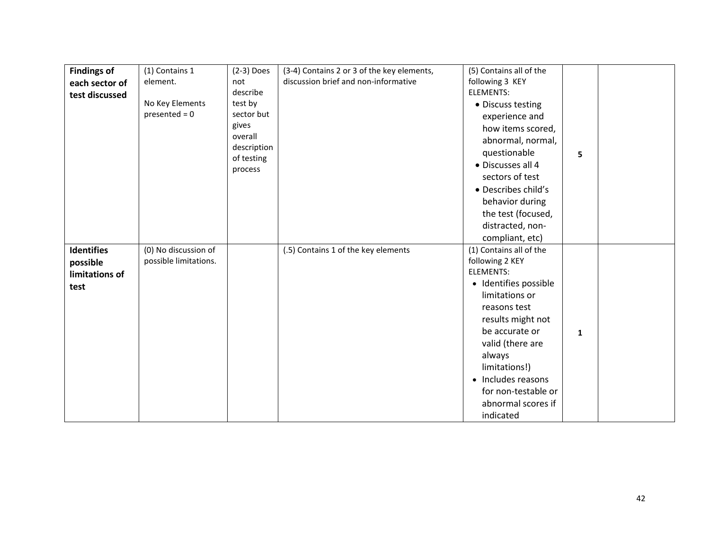| <b>Findings of</b> | (1) Contains 1        | $(2-3)$ Does          | (3-4) Contains 2 or 3 of the key elements, | (5) Contains all of the         |              |  |
|--------------------|-----------------------|-----------------------|--------------------------------------------|---------------------------------|--------------|--|
| each sector of     | element.              | not                   | discussion brief and non-informative       | following 3 KEY                 |              |  |
| test discussed     |                       | describe              |                                            | <b>ELEMENTS:</b>                |              |  |
|                    | No Key Elements       | test by               |                                            | • Discuss testing               |              |  |
|                    | $presented = 0$       | sector but            |                                            | experience and                  |              |  |
|                    |                       | gives                 |                                            | how items scored,               |              |  |
|                    |                       | overall               |                                            | abnormal, normal,               |              |  |
|                    |                       | description           |                                            | questionable                    | 5            |  |
|                    |                       | of testing<br>process |                                            | • Discusses all 4               |              |  |
|                    |                       |                       |                                            | sectors of test                 |              |  |
|                    |                       |                       |                                            | • Describes child's             |              |  |
|                    |                       |                       |                                            | behavior during                 |              |  |
|                    |                       |                       |                                            | the test (focused,              |              |  |
|                    |                       |                       |                                            | distracted, non-                |              |  |
|                    |                       |                       |                                            | compliant, etc)                 |              |  |
| <b>Identifies</b>  | (0) No discussion of  |                       | (.5) Contains 1 of the key elements        | (1) Contains all of the         |              |  |
| possible           | possible limitations. |                       |                                            | following 2 KEY                 |              |  |
| limitations of     |                       |                       |                                            | ELEMENTS:                       |              |  |
| test               |                       |                       |                                            | • Identifies possible           |              |  |
|                    |                       |                       |                                            | limitations or                  |              |  |
|                    |                       |                       |                                            | reasons test                    |              |  |
|                    |                       |                       |                                            | results might not               |              |  |
|                    |                       |                       |                                            | be accurate or                  | $\mathbf{1}$ |  |
|                    |                       |                       |                                            | valid (there are                |              |  |
|                    |                       |                       |                                            | always                          |              |  |
|                    |                       |                       |                                            |                                 |              |  |
|                    |                       |                       |                                            | limitations!)                   |              |  |
|                    |                       |                       |                                            |                                 |              |  |
|                    |                       |                       |                                            | • Includes reasons              |              |  |
|                    |                       |                       |                                            | for non-testable or             |              |  |
|                    |                       |                       |                                            | abnormal scores if<br>indicated |              |  |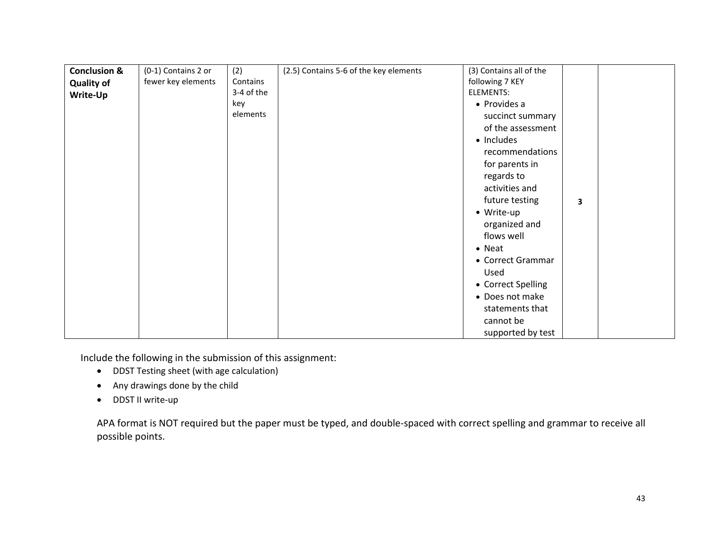| <b>Conclusion &amp;</b> | (0-1) Contains 2 or | (2)        | (2.5) Contains 5-6 of the key elements | (3) Contains all of the |   |  |
|-------------------------|---------------------|------------|----------------------------------------|-------------------------|---|--|
| <b>Quality of</b>       | fewer key elements  | Contains   |                                        | following 7 KEY         |   |  |
| Write-Up                |                     | 3-4 of the |                                        | <b>ELEMENTS:</b>        |   |  |
|                         |                     | key        |                                        | • Provides a            |   |  |
|                         |                     | elements   |                                        | succinct summary        |   |  |
|                         |                     |            |                                        | of the assessment       |   |  |
|                         |                     |            |                                        | · Includes              |   |  |
|                         |                     |            |                                        | recommendations         |   |  |
|                         |                     |            |                                        | for parents in          |   |  |
|                         |                     |            |                                        | regards to              |   |  |
|                         |                     |            |                                        | activities and          |   |  |
|                         |                     |            |                                        | future testing          | 3 |  |
|                         |                     |            |                                        | • Write-up              |   |  |
|                         |                     |            |                                        | organized and           |   |  |
|                         |                     |            |                                        | flows well              |   |  |
|                         |                     |            |                                        | • Neat                  |   |  |
|                         |                     |            |                                        | • Correct Grammar       |   |  |
|                         |                     |            |                                        | Used                    |   |  |
|                         |                     |            |                                        | • Correct Spelling      |   |  |
|                         |                     |            |                                        | • Does not make         |   |  |
|                         |                     |            |                                        | statements that         |   |  |
|                         |                     |            |                                        | cannot be               |   |  |
|                         |                     |            |                                        | supported by test       |   |  |

Include the following in the submission of this assignment:

- DDST Testing sheet (with age calculation)
- Any drawings done by the child
- DDST II write-up

APA format is NOT required but the paper must be typed, and double-spaced with correct spelling and grammar to receive all possible points.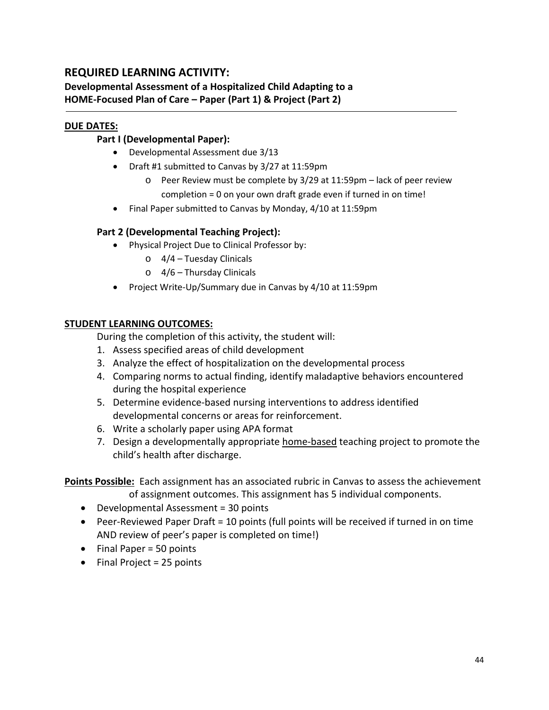## **REQUIRED LEARNING ACTIVITY:**

#### **Developmental Assessment of a Hospitalized Child Adapting to a HOME-Focused Plan of Care – Paper (Part 1) & Project (Part 2)**

#### **DUE DATES:**

#### **Part I (Developmental Paper):**

- Developmental Assessment due 3/13
- Draft #1 submitted to Canvas by 3/27 at 11:59pm
	- o Peer Review must be complete by 3/29 at 11:59pm lack of peer review completion = 0 on your own draft grade even if turned in on time!
- Final Paper submitted to Canvas by Monday, 4/10 at 11:59pm

#### **Part 2 (Developmental Teaching Project):**

- Physical Project Due to Clinical Professor by:
	- $\circ$  4/4 Tuesday Clinicals
	- o 4/6 Thursday Clinicals
- Project Write-Up/Summary due in Canvas by 4/10 at 11:59pm

#### **STUDENT LEARNING OUTCOMES:**

During the completion of this activity, the student will:

- 1. Assess specified areas of child development
- 3. Analyze the effect of hospitalization on the developmental process
- 4. Comparing norms to actual finding, identify maladaptive behaviors encountered during the hospital experience
- 5. Determine evidence-based nursing interventions to address identified developmental concerns or areas for reinforcement.
- 6. Write a scholarly paper using APA format
- 7. Design a developmentally appropriate home-based teaching project to promote the child's health after discharge.

**Points Possible:** Each assignment has an associated rubric in Canvas to assess the achievement of assignment outcomes. This assignment has 5 individual components.

- Developmental Assessment = 30 points
- Peer-Reviewed Paper Draft = 10 points (full points will be received if turned in on time AND review of peer's paper is completed on time!)
- Final Paper = 50 points
- Final Project = 25 points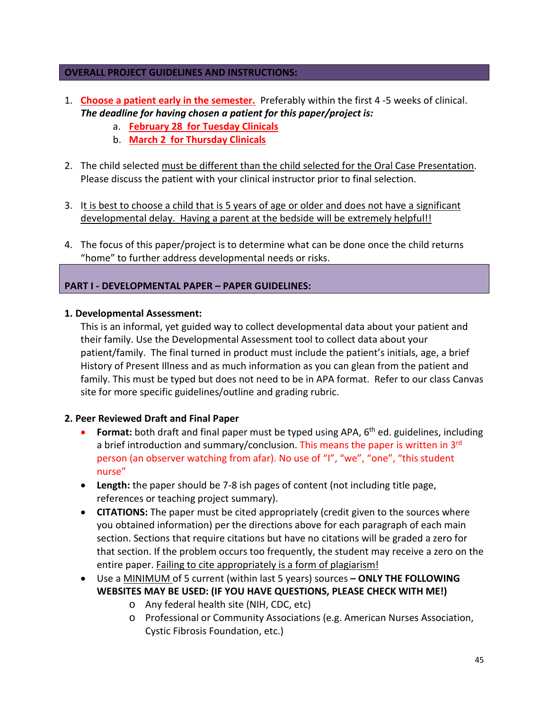#### **OVERALL PROJECT GUIDELINES AND INSTRUCTIONS:**

- 1. **Choose a patient early in the semester.** Preferably within the first 4 -5 weeks of clinical. *The deadline for having chosen a patient for this paper/project is:*
	- a. **February 28 for Tuesday Clinicals**
	- b. **March 2 for Thursday Clinicals**
- 2. The child selected must be different than the child selected for the Oral Case Presentation. Please discuss the patient with your clinical instructor prior to final selection.
- 3. It is best to choose a child that is 5 years of age or older and does not have a significant developmental delay. Having a parent at the bedside will be extremely helpful!!
- 4. The focus of this paper/project is to determine what can be done once the child returns "home" to further address developmental needs or risks.

### **PART I - DEVELOPMENTAL PAPER – PAPER GUIDELINES:**

#### **1. Developmental Assessment:**

This is an informal, yet guided way to collect developmental data about your patient and their family. Use the Developmental Assessment tool to collect data about your patient/family. The final turned in product must include the patient's initials, age, a brief History of Present Illness and as much information as you can glean from the patient and family. This must be typed but does not need to be in APA format. Refer to our class Canvas site for more specific guidelines/outline and grading rubric.

#### **2. Peer Reviewed Draft and Final Paper**

- **Format:** both draft and final paper must be typed using APA, 6<sup>th</sup> ed. guidelines, including a brief introduction and summary/conclusion. This means the paper is written in 3<sup>rd</sup> person (an observer watching from afar). No use of "I", "we", "one", "this student nurse"
- **Length:** the paper should be 7-8 ish pages of content (not including title page, references or teaching project summary).
- **CITATIONS:** The paper must be cited appropriately (credit given to the sources where you obtained information) per the directions above for each paragraph of each main section. Sections that require citations but have no citations will be graded a zero for that section. If the problem occurs too frequently, the student may receive a zero on the entire paper. Failing to cite appropriately is a form of plagiarism!
- Use a MINIMUM of 5 current (within last 5 years) sources **– ONLY THE FOLLOWING WEBSITES MAY BE USED: (IF YOU HAVE QUESTIONS, PLEASE CHECK WITH ME!)**
	- o Any federal health site (NIH, CDC, etc)
	- o Professional or Community Associations (e.g. American Nurses Association, Cystic Fibrosis Foundation, etc.)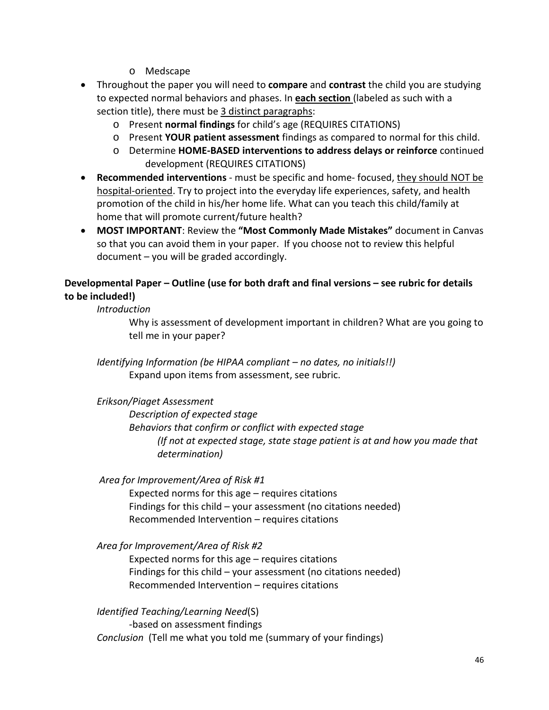- o Medscape
- Throughout the paper you will need to **compare** and **contrast** the child you are studying to expected normal behaviors and phases. In **each section** (labeled as such with a section title), there must be 3 distinct paragraphs:
	- o Present **normal findings** for child's age (REQUIRES CITATIONS)
	- o Present **YOUR patient assessment** findings as compared to normal for this child.
	- o Determine **HOME-BASED interventions to address delays or reinforce** continued development (REQUIRES CITATIONS)
- **Recommended interventions** must be specific and home- focused, they should NOT be hospital-oriented. Try to project into the everyday life experiences, safety, and health promotion of the child in his/her home life. What can you teach this child/family at home that will promote current/future health?
- **MOST IMPORTANT**: Review the **"Most Commonly Made Mistakes"** document in Canvas so that you can avoid them in your paper. If you choose not to review this helpful document – you will be graded accordingly.

### **Developmental Paper – Outline (use for both draft and final versions – see rubric for details to be included!)**

*Introduction*

Why is assessment of development important in children? What are you going to tell me in your paper?

*Identifying Information (be HIPAA compliant – no dates, no initials!!)* Expand upon items from assessment, see rubric.

#### *Erikson/Piaget Assessment*

*Description of expected stage Behaviors that confirm or conflict with expected stage (If not at expected stage, state stage patient is at and how you made that determination)*

*Area for Improvement/Area of Risk #1*

Expected norms for this age – requires citations Findings for this child – your assessment (no citations needed) Recommended Intervention – requires citations

*Area for Improvement/Area of Risk #2*

Expected norms for this age – requires citations Findings for this child – your assessment (no citations needed) Recommended Intervention – requires citations

*Identified Teaching/Learning Need*(S)

*-*based on assessment findings *Conclusion* (Tell me what you told me (summary of your findings)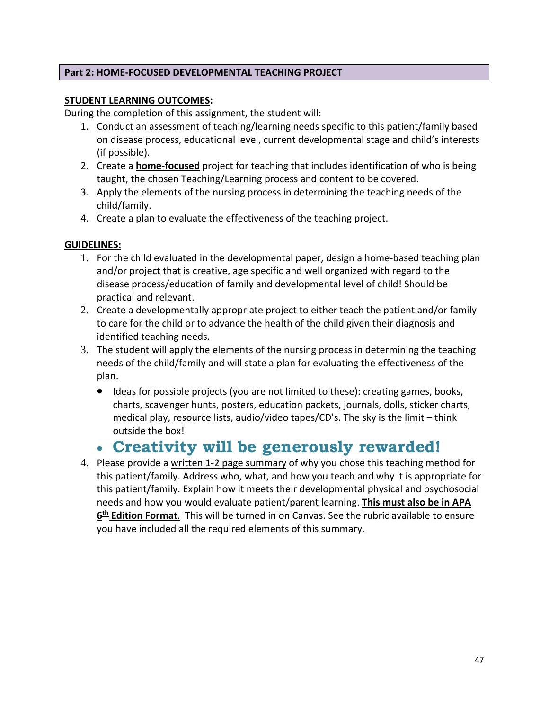#### **Part 2: HOME-FOCUSED DEVELOPMENTAL TEACHING PROJECT**

#### **STUDENT LEARNING OUTCOMES:**

During the completion of this assignment, the student will:

- 1. Conduct an assessment of teaching/learning needs specific to this patient/family based on disease process, educational level, current developmental stage and child's interests (if possible).
- 2. Create a **home-focused** project for teaching that includes identification of who is being taught, the chosen Teaching/Learning process and content to be covered.
- 3. Apply the elements of the nursing process in determining the teaching needs of the child/family.
- 4. Create a plan to evaluate the effectiveness of the teaching project.

#### **GUIDELINES:**

- 1. For the child evaluated in the developmental paper, design a home-based teaching plan and/or project that is creative, age specific and well organized with regard to the disease process/education of family and developmental level of child! Should be practical and relevant.
- 2. Create a developmentally appropriate project to either teach the patient and/or family to care for the child or to advance the health of the child given their diagnosis and identified teaching needs.
- 3. The student will apply the elements of the nursing process in determining the teaching needs of the child/family and will state a plan for evaluating the effectiveness of the plan.
	- Ideas for possible projects (you are not limited to these): creating games, books, charts, scavenger hunts, posters, education packets, journals, dolls, sticker charts, medical play, resource lists, audio/video tapes/CD's. The sky is the limit – think outside the box!

## • **Creativity will be generously rewarded!**

4. Please provide a written 1-2 page summary of why you chose this teaching method for this patient/family. Address who, what, and how you teach and why it is appropriate for this patient/family. Explain how it meets their developmental physical and psychosocial needs and how you would evaluate patient/parent learning. **This must also be in APA 6th Edition Format**. This will be turned in on Canvas. See the rubric available to ensure you have included all the required elements of this summary.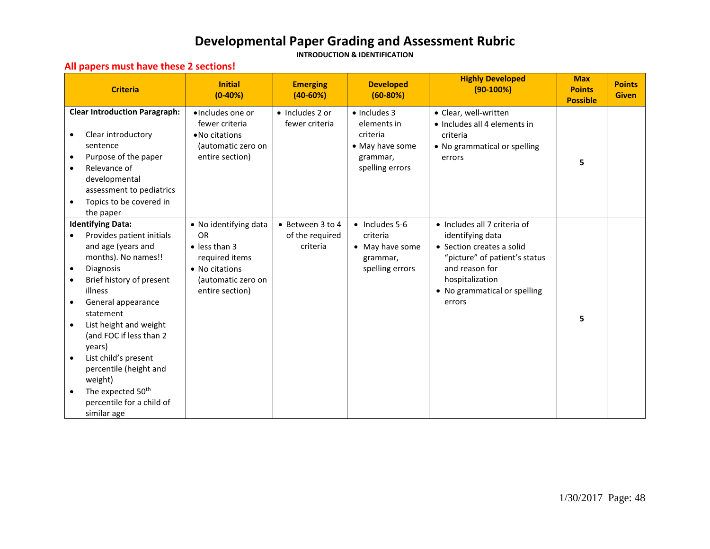## **Developmental Paper Grading and Assessment Rubric**

**INTRODUCTION & IDENTIFICATION**

#### **All papers must have these 2 sections!**

| <b>Criteria</b>                                                                                                                                                                                                                                                                                                                                                                                                  | <b>Initial</b><br>$(0-40%)$                                                                                                              | <b>Emerging</b><br>$(40-60%)$                   | <b>Developed</b><br>$(60-80%)$                                                            | <b>Highly Developed</b><br>$(90-100%)$                                                                                                                                                        | <b>Max</b><br><b>Points</b><br><b>Possible</b> | <b>Points</b><br><b>Given</b> |
|------------------------------------------------------------------------------------------------------------------------------------------------------------------------------------------------------------------------------------------------------------------------------------------------------------------------------------------------------------------------------------------------------------------|------------------------------------------------------------------------------------------------------------------------------------------|-------------------------------------------------|-------------------------------------------------------------------------------------------|-----------------------------------------------------------------------------------------------------------------------------------------------------------------------------------------------|------------------------------------------------|-------------------------------|
| <b>Clear Introduction Paragraph:</b><br>Clear introductory<br>sentence<br>Purpose of the paper<br>Relevance of<br>developmental<br>assessment to pediatrics<br>Topics to be covered in<br>the paper                                                                                                                                                                                                              | ·Includes one or<br>fewer criteria<br>• No citations<br>(automatic zero on<br>entire section)                                            | $\bullet$ Includes 2 or<br>fewer criteria       | • Includes 3<br>elements in<br>criteria<br>• May have some<br>grammar,<br>spelling errors | • Clear, well-written<br>• Includes all 4 elements in<br>criteria<br>• No grammatical or spelling<br>errors                                                                                   | 5                                              |                               |
| <b>Identifying Data:</b><br>Provides patient initials<br>and age (years and<br>months). No names!!<br>Diagnosis<br>$\bullet$<br>Brief history of present<br>illness<br>General appearance<br>statement<br>List height and weight<br>(and FOC if less than 2)<br>years)<br>List child's present<br>percentile (height and<br>weight)<br>The expected 50 <sup>th</sup><br>percentile for a child of<br>similar age | • No identifying data<br><b>OR</b><br>$\bullet$ less than 3<br>required items<br>• No citations<br>(automatic zero on<br>entire section) | • Between 3 to 4<br>of the required<br>criteria | $\bullet$ Includes 5-6<br>criteria<br>• May have some<br>grammar,<br>spelling errors      | • Includes all 7 criteria of<br>identifying data<br>• Section creates a solid<br>"picture" of patient's status<br>and reason for<br>hospitalization<br>• No grammatical or spelling<br>errors | 5                                              |                               |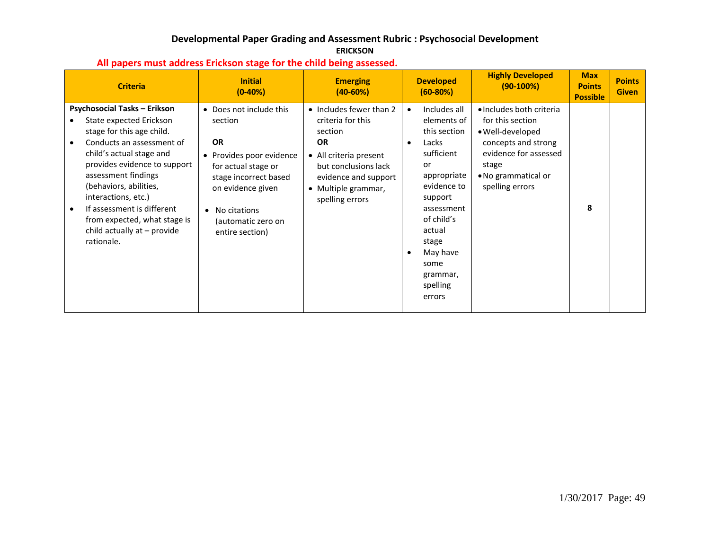#### **Developmental Paper Grading and Assessment Rubric : Psychosocial Development ERICKSON**

#### **Criteria Initial Initial (0-40%) Emerging (40-60%) Developed (60-80%) Highly Developed (90-100%) Max Points Possible Points Given Psychosocial Tasks – Erikson** • State expected Erickson stage for this age child. • Conducts an assessment of child's actual stage and provides evidence to support assessment findings (behaviors, abilities, interactions, etc.) • If assessment is different from expected, what stage is child actually at – provide rationale. • Does not include this section **OR**  • Provides poor evidence for actual stage or stage incorrect based on evidence given • No citations (automatic zero on entire section) • Includes fewer than 2 criteria for this section **OR** • All criteria present but conclusions lack evidence and support • Multiple grammar, spelling errors • Includes all elements of this section • Lacks sufficient or appropriate evidence to support assessment of child's actual stage • May have some grammar, spelling errors •Includes both criteria for this section •Well-developed concepts and strong evidence for assessed stage •No grammatical or spelling errors **8**

#### **All papers must address Erickson stage for the child being assessed.**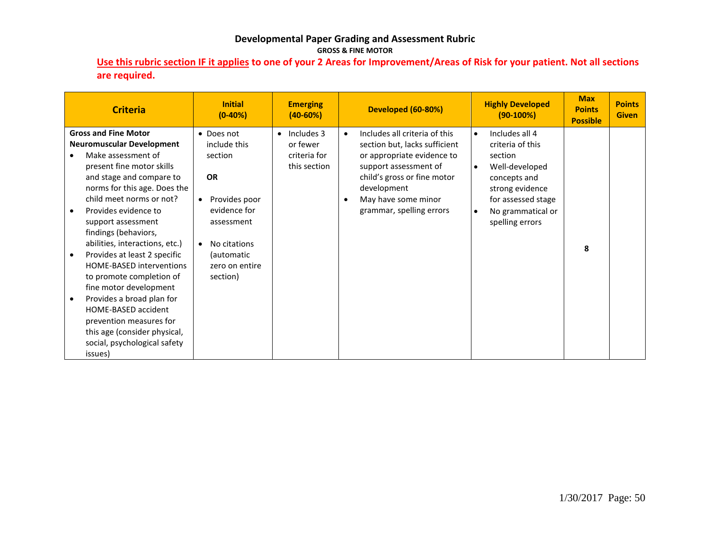#### **Developmental Paper Grading and Assessment Rubric GROSS & FINE MOTOR**

**Use this rubric section IF it applies to one of your 2 Areas for Improvement/Areas of Risk for your patient. Not all sections are required.**

| <b>Criteria</b>                                                                                                                                                                                                                                                                                                                                                                                                                                                                                                                                                                                       | <b>Initial</b><br>$(0-40%)$                                                                                                                                                             | <b>Emerging</b><br>$(40 - 60%)$                                     | Developed (60-80%)                                                                                                                                                                                                                  | <b>Highly Developed</b><br>$(90-100%)$                                                                                                                                        |   | <b>Points</b><br><b>Given</b> |
|-------------------------------------------------------------------------------------------------------------------------------------------------------------------------------------------------------------------------------------------------------------------------------------------------------------------------------------------------------------------------------------------------------------------------------------------------------------------------------------------------------------------------------------------------------------------------------------------------------|-----------------------------------------------------------------------------------------------------------------------------------------------------------------------------------------|---------------------------------------------------------------------|-------------------------------------------------------------------------------------------------------------------------------------------------------------------------------------------------------------------------------------|-------------------------------------------------------------------------------------------------------------------------------------------------------------------------------|---|-------------------------------|
| <b>Gross and Fine Motor</b><br><b>Neuromuscular Development</b><br>Make assessment of<br>present fine motor skills<br>and stage and compare to<br>norms for this age. Does the<br>child meet norms or not?<br>Provides evidence to<br>support assessment<br>findings (behaviors,<br>abilities, interactions, etc.)<br>Provides at least 2 specific<br><b>HOME-BASED interventions</b><br>to promote completion of<br>fine motor development<br>Provides a broad plan for<br>HOME-BASED accident<br>prevention measures for<br>this age (consider physical,<br>social, psychological safety<br>issues) | • Does not<br>include this<br>section<br><b>OR</b><br>Provides poor<br>$\bullet$<br>evidence for<br>assessment<br>No citations<br>$\bullet$<br>(automatic<br>zero on entire<br>section) | Includes 3<br>$\bullet$<br>or fewer<br>criteria for<br>this section | Includes all criteria of this<br>$\bullet$<br>section but, lacks sufficient<br>or appropriate evidence to<br>support assessment of<br>child's gross or fine motor<br>development<br>May have some minor<br>grammar, spelling errors | Includes all 4<br>criteria of this<br>section<br>Well-developed<br>$\bullet$<br>concepts and<br>strong evidence<br>for assessed stage<br>No grammatical or<br>spelling errors | 8 |                               |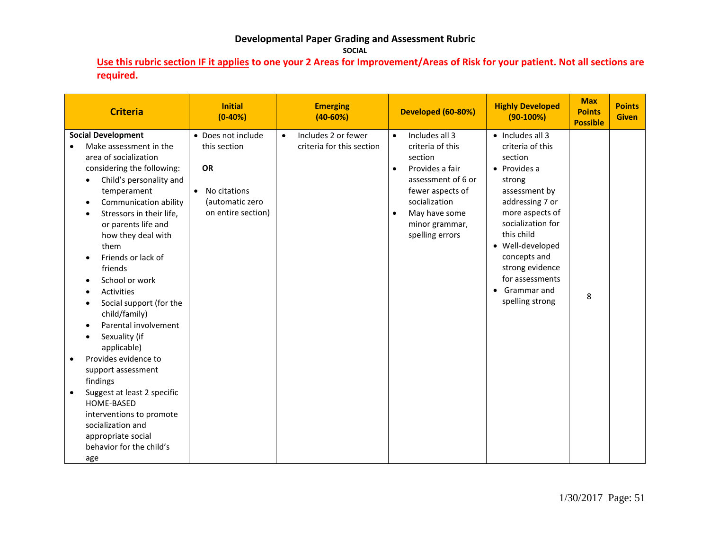#### **Developmental Paper Grading and Assessment Rubric**

**SOCIAL**

**Use this rubric section IF it applies to one your 2 Areas for Improvement/Areas of Risk for your patient. Not all sections are required.**

| <b>Criteria</b>                                                                                                                                                                                                                                                                                                                                                                                                                                                                                                                                                                                                                                                                            | <b>Initial</b><br>$(0-40%)$                                                                                           | <b>Emerging</b><br>$(40-60%)$                                 | Developed (60-80%)                                                                                                                                                                                                       | <b>Highly Developed</b><br>$(90-100%)$                                                                                                                                                                                                                                                                       | <b>Max</b><br><b>Points</b><br><b>Possible</b> | <b>Points</b><br><b>Given</b> |
|--------------------------------------------------------------------------------------------------------------------------------------------------------------------------------------------------------------------------------------------------------------------------------------------------------------------------------------------------------------------------------------------------------------------------------------------------------------------------------------------------------------------------------------------------------------------------------------------------------------------------------------------------------------------------------------------|-----------------------------------------------------------------------------------------------------------------------|---------------------------------------------------------------|--------------------------------------------------------------------------------------------------------------------------------------------------------------------------------------------------------------------------|--------------------------------------------------------------------------------------------------------------------------------------------------------------------------------------------------------------------------------------------------------------------------------------------------------------|------------------------------------------------|-------------------------------|
| <b>Social Development</b><br>Make assessment in the<br>area of socialization<br>considering the following:<br>Child's personality and<br>$\bullet$<br>temperament<br>Communication ability<br>Stressors in their life,<br>or parents life and<br>how they deal with<br>them<br>Friends or lack of<br>friends<br>School or work<br><b>Activities</b><br>Social support (for the<br>٠<br>child/family)<br>Parental involvement<br>Sexuality (if<br>applicable)<br>Provides evidence to<br>support assessment<br>findings<br>Suggest at least 2 specific<br>$\bullet$<br>HOME-BASED<br>interventions to promote<br>socialization and<br>appropriate social<br>behavior for the child's<br>age | • Does not include<br>this section<br><b>OR</b><br>No citations<br>$\bullet$<br>(automatic zero<br>on entire section) | Includes 2 or fewer<br>$\bullet$<br>criteria for this section | Includes all 3<br>$\bullet$<br>criteria of this<br>section<br>Provides a fair<br>$\bullet$<br>assessment of 6 or<br>fewer aspects of<br>socialization<br>May have some<br>$\bullet$<br>minor grammar,<br>spelling errors | $\bullet$ Includes all 3<br>criteria of this<br>section<br>$\bullet$ Provides a<br>strong<br>assessment by<br>addressing 7 or<br>more aspects of<br>socialization for<br>this child<br>• Well-developed<br>concepts and<br>strong evidence<br>for assessments<br>Grammar and<br>$\bullet$<br>spelling strong | 8                                              |                               |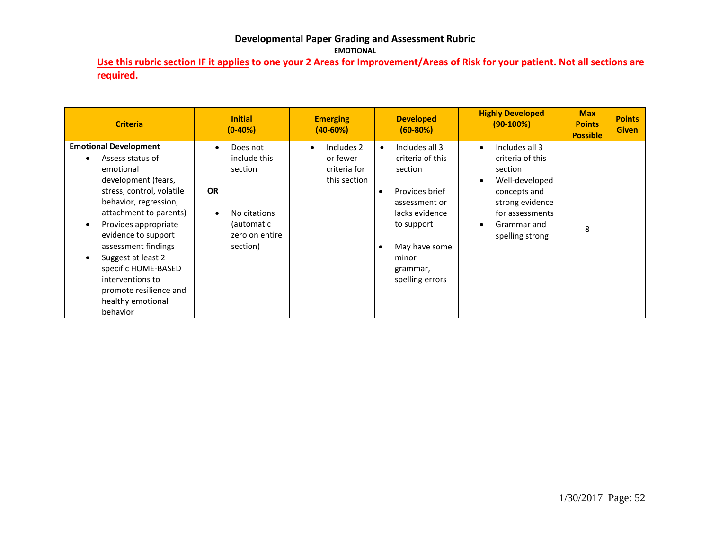#### **Developmental Paper Grading and Assessment Rubric EMOTIONAL**

**Use this rubric section IF it applies to one your 2 Areas for Improvement/Areas of Risk for your patient. Not all sections are required.**

| <b>Criteria</b>                                                                                                                                                                                                                                                                                                                                                        | <b>Initial</b><br>$(0-40%)$                                                                                               | <b>Emerging</b><br>$(40 - 60%)$                        | <b>Developed</b><br>$(60-80%)$                                                                                                                                                                      | <b>Highly Developed</b><br>$(90-100%)$                                                                                                                  | <b>Max</b><br><b>Points</b><br><b>Possible</b> | <b>Points</b><br><b>Given</b> |
|------------------------------------------------------------------------------------------------------------------------------------------------------------------------------------------------------------------------------------------------------------------------------------------------------------------------------------------------------------------------|---------------------------------------------------------------------------------------------------------------------------|--------------------------------------------------------|-----------------------------------------------------------------------------------------------------------------------------------------------------------------------------------------------------|---------------------------------------------------------------------------------------------------------------------------------------------------------|------------------------------------------------|-------------------------------|
| <b>Emotional Development</b><br>Assess status of<br>emotional<br>development (fears,<br>stress, control, volatile<br>behavior, regression,<br>attachment to parents)<br>Provides appropriate<br>evidence to support<br>assessment findings<br>Suggest at least 2<br>specific HOME-BASED<br>interventions to<br>promote resilience and<br>healthy emotional<br>behavior | Does not<br>$\bullet$<br>include this<br>section<br><b>OR</b><br>No citations<br>(automatic<br>zero on entire<br>section) | Includes 2<br>or fewer<br>criteria for<br>this section | Includes all 3<br>$\bullet$<br>criteria of this<br>section<br>Provides brief<br>$\bullet$<br>assessment or<br>lacks evidence<br>to support<br>May have some<br>minor<br>grammar,<br>spelling errors | Includes all 3<br>criteria of this<br>section<br>Well-developed<br>concepts and<br>strong evidence<br>for assessments<br>Grammar and<br>spelling strong | 8                                              |                               |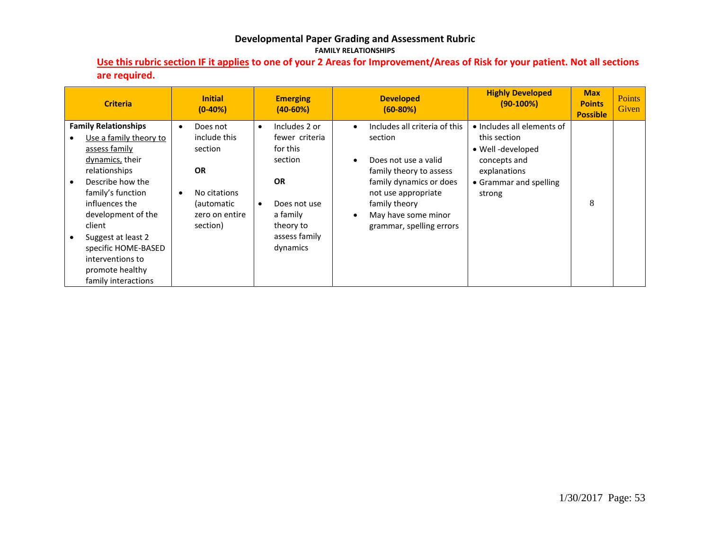#### **Developmental Paper Grading and Assessment Rubric FAMILY RELATIONSHIPS**

**Use this rubric section IF it applies to one of your 2 Areas for Improvement/Areas of Risk for your patient. Not all sections are required.**

| <b>Criteria</b>                                                                                                                                                                                                                                                                                                  | <b>Initial</b><br>$(0-40%)$                                                                                                    | <b>Emerging</b><br>$(40 - 60%)$                                                                                                                                     | <b>Developed</b><br>$(60-80%)$                                                                                                                                                                                                                           | <b>Highly Developed</b><br>$(90-100%)$                                                                                             | <b>Max</b><br><b>Points</b><br><b>Possible</b> | <b>Points</b><br>Given |
|------------------------------------------------------------------------------------------------------------------------------------------------------------------------------------------------------------------------------------------------------------------------------------------------------------------|--------------------------------------------------------------------------------------------------------------------------------|---------------------------------------------------------------------------------------------------------------------------------------------------------------------|----------------------------------------------------------------------------------------------------------------------------------------------------------------------------------------------------------------------------------------------------------|------------------------------------------------------------------------------------------------------------------------------------|------------------------------------------------|------------------------|
| <b>Family Relationships</b><br>Use a family theory to<br>assess family<br>dynamics, their<br>relationships<br>Describe how the<br>family's function<br>influences the<br>development of the<br>client<br>Suggest at least 2<br>specific HOME-BASED<br>interventions to<br>promote healthy<br>family interactions | Does not<br>$\bullet$<br>include this<br>section<br><b>OR</b><br>No citations<br>٠<br>(automatic<br>zero on entire<br>section) | Includes 2 or<br>$\bullet$<br>fewer criteria<br>for this<br>section<br><b>OR</b><br>Does not use<br>$\bullet$<br>a family<br>theory to<br>assess family<br>dynamics | Includes all criteria of this<br>$\bullet$<br>section<br>Does not use a valid<br>$\bullet$<br>family theory to assess<br>family dynamics or does<br>not use appropriate<br>family theory<br>May have some minor<br>$\bullet$<br>grammar, spelling errors | • Includes all elements of<br>this section<br>• Well-developed<br>concepts and<br>explanations<br>• Grammar and spelling<br>strong | 8                                              |                        |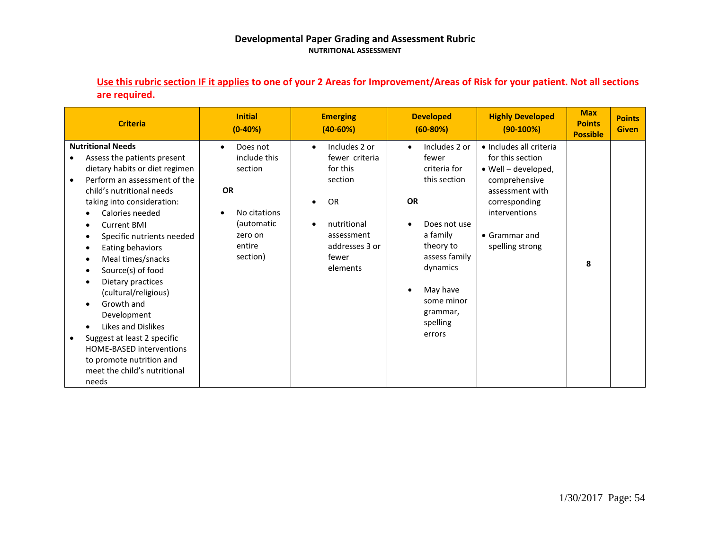#### **Developmental Paper Grading and Assessment Rubric NUTRITIONAL ASSESSMENT**

**Use this rubric section IF it applies to one of your 2 Areas for Improvement/Areas of Risk for your patient. Not all sections are required.**

| <b>Criteria</b>                                                                                                                                                                                                                                                                                                                                                                                                                                                                                                                                                                                                  | <b>Initial</b><br>$(0-40%)$                                                                                                  | <b>Emerging</b><br>$(40 - 60%)$                                                                                                                      | <b>Developed</b><br>$(60-80%)$                                                                                                                                                                                                  | <b>Highly Developed</b><br>$(90-100%)$                                                                                                                                               | <b>Max</b><br><b>Points</b><br><b>Possible</b> | <b>Points</b><br><b>Given</b> |
|------------------------------------------------------------------------------------------------------------------------------------------------------------------------------------------------------------------------------------------------------------------------------------------------------------------------------------------------------------------------------------------------------------------------------------------------------------------------------------------------------------------------------------------------------------------------------------------------------------------|------------------------------------------------------------------------------------------------------------------------------|------------------------------------------------------------------------------------------------------------------------------------------------------|---------------------------------------------------------------------------------------------------------------------------------------------------------------------------------------------------------------------------------|--------------------------------------------------------------------------------------------------------------------------------------------------------------------------------------|------------------------------------------------|-------------------------------|
| <b>Nutritional Needs</b><br>Assess the patients present<br>dietary habits or diet regimen<br>Perform an assessment of the<br>$\bullet$<br>child's nutritional needs<br>taking into consideration:<br>Calories needed<br><b>Current BMI</b><br>Specific nutrients needed<br>٠<br>Eating behaviors<br>٠<br>Meal times/snacks<br>$\bullet$<br>Source(s) of food<br>$\bullet$<br>Dietary practices<br>(cultural/religious)<br>Growth and<br>Development<br>Likes and Dislikes<br>Suggest at least 2 specific<br><b>HOME-BASED interventions</b><br>to promote nutrition and<br>meet the child's nutritional<br>needs | Does not<br>$\bullet$<br>include this<br>section<br><b>OR</b><br>No citations<br>(automatic<br>zero on<br>entire<br>section) | Includes 2 or<br>$\bullet$<br>fewer criteria<br>for this<br>section<br><b>OR</b><br>nutritional<br>assessment<br>addresses 3 or<br>fewer<br>elements | Includes 2 or<br>$\bullet$<br>fewer<br>criteria for<br>this section<br><b>OR</b><br>Does not use<br>$\bullet$<br>a family<br>theory to<br>assess family<br>dynamics<br>May have<br>some minor<br>grammar,<br>spelling<br>errors | • Includes all criteria<br>for this section<br>· Well - developed,<br>comprehensive<br>assessment with<br>corresponding<br>interventions<br>$\bullet$ Grammar and<br>spelling strong | 8                                              |                               |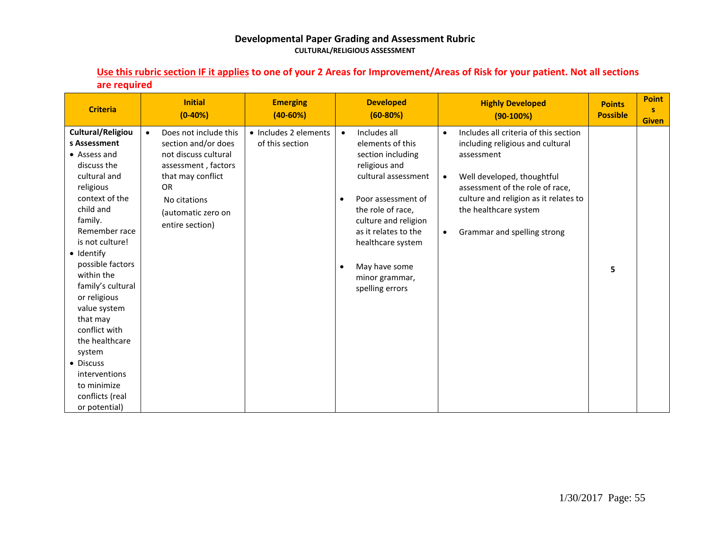#### **Developmental Paper Grading and Assessment Rubric CULTURAL/RELIGIOUS ASSESSMENT**

#### **Use this rubric section IF it applies to one of your 2 Areas for Improvement/Areas of Risk for your patient. Not all sections are required**

| <b>Criteria</b>                                                                                                                                                                                                                                                                                                                                                                                                            | <b>Initial</b><br>$(0-40%)$                                                                                                                                                                         | <b>Emerging</b><br>$(40-60%)$            | <b>Developed</b><br>$(60-80%)$                                                                                                                                                                                                                                                                             | <b>Highly Developed</b><br>$(90-100%)$                                                                                                                                                                                                                                              | <b>Points</b><br><b>Possible</b> | <b>Point</b><br>s<br><b>Given</b> |
|----------------------------------------------------------------------------------------------------------------------------------------------------------------------------------------------------------------------------------------------------------------------------------------------------------------------------------------------------------------------------------------------------------------------------|-----------------------------------------------------------------------------------------------------------------------------------------------------------------------------------------------------|------------------------------------------|------------------------------------------------------------------------------------------------------------------------------------------------------------------------------------------------------------------------------------------------------------------------------------------------------------|-------------------------------------------------------------------------------------------------------------------------------------------------------------------------------------------------------------------------------------------------------------------------------------|----------------------------------|-----------------------------------|
| Cultural/Religiou<br>s Assessment<br>• Assess and<br>discuss the<br>cultural and<br>religious<br>context of the<br>child and<br>family.<br>Remember race<br>is not culture!<br>· Identify<br>possible factors<br>within the<br>family's cultural<br>or religious<br>value system<br>that may<br>conflict with<br>the healthcare<br>system<br>• Discuss<br>interventions<br>to minimize<br>conflicts (real<br>or potential) | Does not include this<br>$\bullet$<br>section and/or does<br>not discuss cultural<br>assessment, factors<br>that may conflict<br><b>OR</b><br>No citations<br>(automatic zero on<br>entire section) | • Includes 2 elements<br>of this section | Includes all<br>$\bullet$<br>elements of this<br>section including<br>religious and<br>cultural assessment<br>Poor assessment of<br>$\bullet$<br>the role of race,<br>culture and religion<br>as it relates to the<br>healthcare system<br>May have some<br>$\bullet$<br>minor grammar,<br>spelling errors | Includes all criteria of this section<br>including religious and cultural<br>assessment<br>Well developed, thoughtful<br>$\bullet$<br>assessment of the role of race,<br>culture and religion as it relates to<br>the healthcare system<br>Grammar and spelling strong<br>$\bullet$ | 5                                |                                   |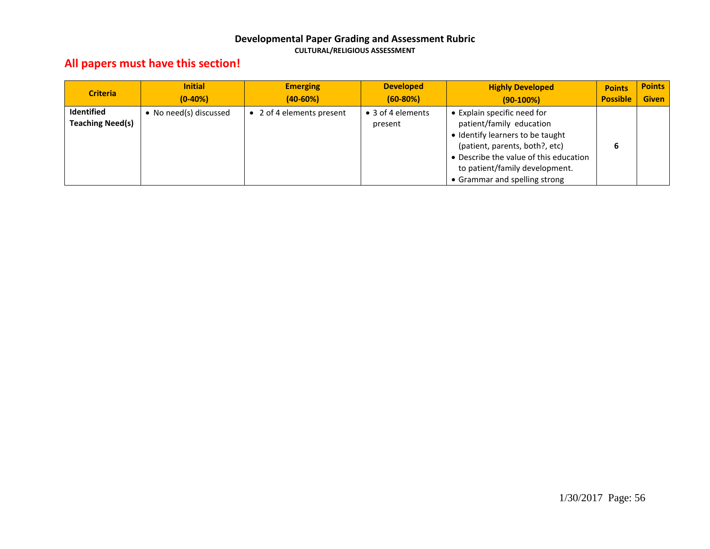#### **Developmental Paper Grading and Assessment Rubric CULTURAL/RELIGIOUS ASSESSMENT**

## **All papers must have this section!**

| <b>Criteria</b>                              | <b>Initial</b>       | <b>Emerging</b>           | <b>Developed</b>             | <b>Highly Developed</b>                                                                                                                                                                                                                    | <b>Points</b>   | <b>Points</b> |
|----------------------------------------------|----------------------|---------------------------|------------------------------|--------------------------------------------------------------------------------------------------------------------------------------------------------------------------------------------------------------------------------------------|-----------------|---------------|
|                                              | $(0-40%)$            | $(40 - 60%)$              | $(60-80%)$                   | $(90-100%)$                                                                                                                                                                                                                                | <b>Possible</b> | <b>Given</b>  |
| <b>Identified</b><br><b>Teaching Need(s)</b> | No need(s) discussed | • 2 of 4 elements present | • 3 of 4 elements<br>present | • Explain specific need for<br>patient/family education<br>· Identify learners to be taught<br>(patient, parents, both?, etc)<br>• Describe the value of this education<br>to patient/family development.<br>• Grammar and spelling strong |                 |               |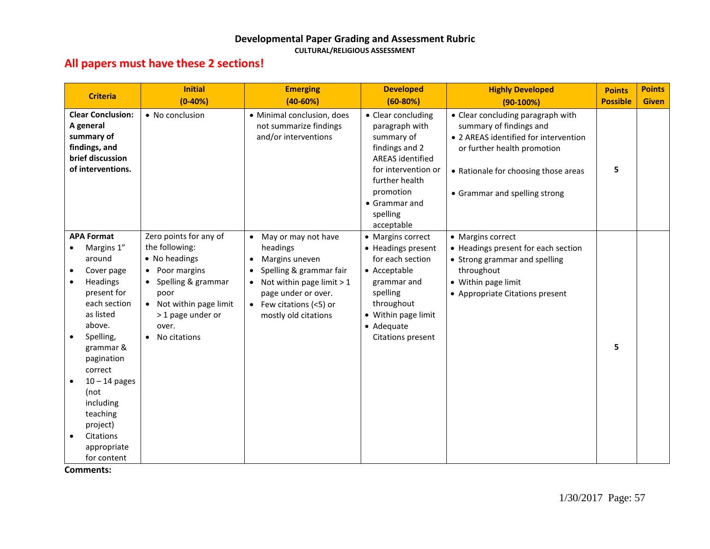#### **Developmental Paper Grading and Assessment Rubric CULTURAL/RELIGIOUS ASSESSMENT**

## **All papers must have these 2 sections!**

|                                                                                                                                                                                                                                                                                         | <b>Initial</b>                                                                                                                                                                                | <b>Emerging</b>                                                                                                                                                                                      | <b>Developed</b>                                                                                                                                                                                 | <b>Highly Developed</b>                                                                                                                                                                                       | <b>Points</b>   | <b>Points</b> |
|-----------------------------------------------------------------------------------------------------------------------------------------------------------------------------------------------------------------------------------------------------------------------------------------|-----------------------------------------------------------------------------------------------------------------------------------------------------------------------------------------------|------------------------------------------------------------------------------------------------------------------------------------------------------------------------------------------------------|--------------------------------------------------------------------------------------------------------------------------------------------------------------------------------------------------|---------------------------------------------------------------------------------------------------------------------------------------------------------------------------------------------------------------|-----------------|---------------|
| <b>Criteria</b>                                                                                                                                                                                                                                                                         | $(0-40%)$                                                                                                                                                                                     | $(40-60%)$                                                                                                                                                                                           | $(60-80%)$                                                                                                                                                                                       | $(90-100%)$                                                                                                                                                                                                   | <b>Possible</b> | <b>Given</b>  |
| <b>Clear Conclusion:</b><br>A general<br>summary of<br>findings, and<br>brief discussion<br>of interventions.                                                                                                                                                                           | • No conclusion                                                                                                                                                                               | · Minimal conclusion, does<br>not summarize findings<br>and/or interventions                                                                                                                         | • Clear concluding<br>paragraph with<br>summary of<br>findings and 2<br><b>AREAS identified</b><br>for intervention or<br>further health<br>promotion<br>• Grammar and<br>spelling<br>acceptable | • Clear concluding paragraph with<br>summary of findings and<br>• 2 AREAS identified for intervention<br>or further health promotion<br>• Rationale for choosing those areas<br>• Grammar and spelling strong | 5               |               |
| <b>APA Format</b><br>Margins 1"<br>around<br>Cover page<br>Headings<br>present for<br>each section<br>as listed<br>above.<br>Spelling,<br>grammar &<br>pagination<br>correct<br>$10 - 14$ pages<br>(not<br>including<br>teaching<br>project)<br>Citations<br>appropriate<br>for content | Zero points for any of<br>the following:<br>• No headings<br>Poor margins<br>Spelling & grammar<br>poor<br>• Not within page limit<br>> 1 page under or<br>over.<br>No citations<br>$\bullet$ | May or may not have<br>$\bullet$<br>headings<br>Margins uneven<br>Spelling & grammar fair<br>Not within page limit $> 1$<br>page under or over.<br>• Few citations $(<5)$ or<br>mostly old citations | • Margins correct<br>• Headings present<br>for each section<br>• Acceptable<br>grammar and<br>spelling<br>throughout<br>• Within page limit<br>• Adequate<br>Citations present                   | • Margins correct<br>• Headings present for each section<br>• Strong grammar and spelling<br>throughout<br>• Within page limit<br>• Appropriate Citations present                                             | 5               |               |

**Comments:**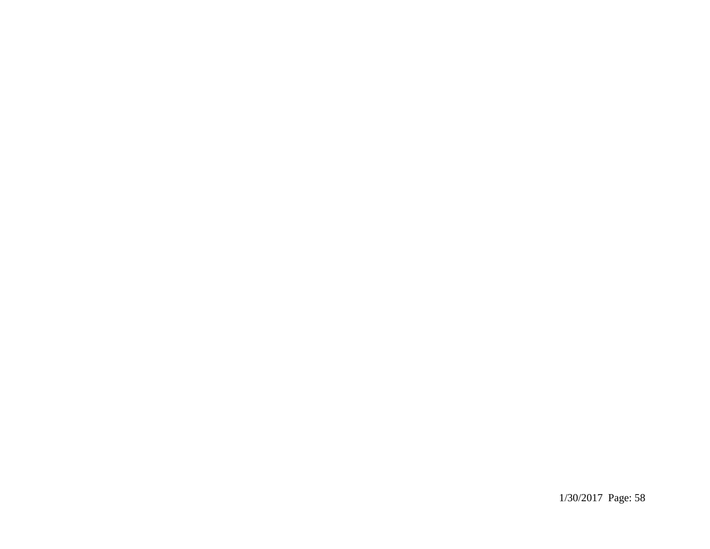1/30/2017 Page: 58